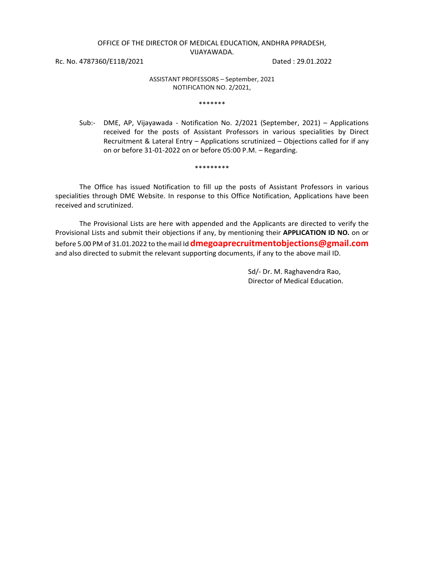## OFFICE OF THE DIRECTOR OF MEDICAL EDUCATION, ANDHRA PPRADESH, VIJAYAWADA.

Rc. No. 4787360/E11B/2021 Dated : 29.01.2022

## ASSISTANT PROFESSORS – September, 2021 NOTIFICATION NO. 2/2021,

\*\*\*\*\*\*\*

Sub:- DME, AP, Vijayawada - Notification No. 2/2021 (September, 2021) – Applications received for the posts of Assistant Professors in various specialities by Direct Recruitment & Lateral Entry – Applications scrutinized – Objections called for if any on or before 31-01-2022 on or before 05:00 P.M. – Regarding.

\*\*\*\*\*\*\*\*\*

The Office has issued Notification to fill up the posts of Assistant Professors in various specialities through DME Website. In response to this Office Notification, Applications have been received and scrutinized.

The Provisional Lists are here with appended and the Applicants are directed to verify the Provisional Lists and submit their objections if any, by mentioning their **APPLICATION ID NO.** on or before 5.00 PM of 31.01.2022 to the mail Id **dmegoaprecruitmentobjections@gmail.com** and also directed to submit the relevant supporting documents, if any to the above mail ID.

> Sd/- Dr. M. Raghavendra Rao, Director of Medical Education.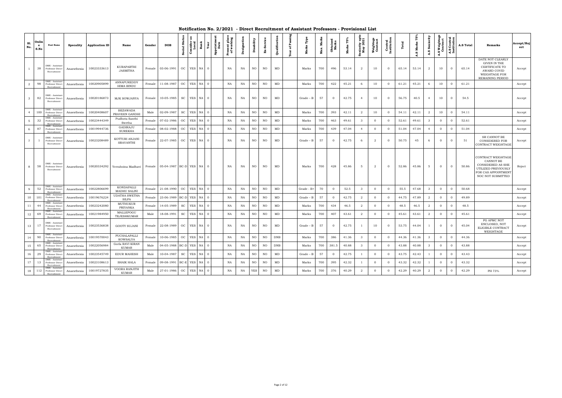| S1.<br>No.     | Onlin<br>$\mathbf{e}$<br>S.No | <b>Post Name</b>                                               | Specality   | <b>Application ID</b> | Name                                 | Gender | <b>DOB</b>                      | Stat<br><b>Social</b>       | æ<br>Consider<br>Local | Rank<br>Year            | Appointme<br>Date | Present place<br>of working | signation<br>ق | Disability  | ă           | Qualification | £<br>៵<br>总 | Marks<br>Max. | <b>Obtained</b><br>Marks | ř<br>Marks | eniority upt<br>May 2021 | Weightage<br>Contract | <b>Central</b><br>Institution | Total | 57<br>Marks<br>A.S | Seniority<br>A.S | <b>A.S Weightag</b><br>Contract | A.S Central<br>Institution | A.S Total | Remarks                                                                                                                 | Accept/Rej<br>ect |
|----------------|-------------------------------|----------------------------------------------------------------|-------------|-----------------------|--------------------------------------|--------|---------------------------------|-----------------------------|------------------------|-------------------------|-------------------|-----------------------------|----------------|-------------|-------------|---------------|-------------|---------------|--------------------------|------------|--------------------------|-----------------------|-------------------------------|-------|--------------------|------------------|---------------------------------|----------------------------|-----------|-------------------------------------------------------------------------------------------------------------------------|-------------------|
| $\mathbf{1}$   | 38                            | DME - Assistant<br>Professor Direct<br>Recruitment             | Anaesthesia | 10023333613           | KURAPARTHI<br><b>JASMITHA</b>        | Female | 03-06-1991                      | OC                          | YES                    | NA<br>$\Omega$          |                   | NA                          | NA             | NO          | NO          | MD            | Marks       | 700           | 496                      | 53.14      | $\overline{2}$           | 10                    | $\Omega$                      | 65.14 | 53.14              | 2                | 10                              | $\overline{0}$             | 65.14     | DATE NOT CLEARLY<br>GIVEN IN THE<br>CERTIFICATE TO<br>AWARD COVID<br>WEIGHTAGE FOR<br>REMAINING PERIOD                  | Accept            |
| $\overline{a}$ | 98                            | DME - Assistan<br>Professor Direct                             | Anaesthesia | 10020905899           | ANNAPUREDDY<br><b>HIMA BINDU</b>     | Female | 11-08-1987                      | OC                          | YES NA                 | $\overline{0}$          |                   | NA                          | NA             | NO          | NO          | MD            | Marks       | 700           | 422                      | 45.21      | 6                        | 10                    | $\overline{0}$                | 61.21 | 45.21              | 6                | 10                              | $\overline{0}$             | 61.21     |                                                                                                                         | Accept            |
| $\mathbf{3}$   | 82                            | DME - Assistant<br>Professor Direct<br>Recruitment             | Anaesthesia | 10020186873           | MJK SOWJANYA                         | Female | 10-05-1985                      | SC                          | YES NA                 | $\overline{0}$          |                   | NA                          | NA             | NO          | NO          | MD            | $Grade - B$ | 57            | $\overline{0}$           | 42.75      | $\overline{4}$           | 10                    | $\overline{0}$                | 56.75 | 40.5               | $\overline{4}$   | 10                              | $\overline{0}$             | 54.5      |                                                                                                                         | Accept            |
| $\overline{4}$ | 100                           | DME - Assistan <sup>.</sup><br>Professor Direct<br>Recruitment | Anaesthesia | 10020408607           | <b>BEZAWADA</b><br>PRAVEEN GANDHI    | Male   | 02-09-1987                      | $\protect\operatorname{sc}$ | YES                    | NA<br>$\overline{0}$    |                   | NA                          | NA             | $_{\rm NO}$ | $_{\rm NO}$ | MD            | Marks       | 700           | 393                      | 42.11      | $\overline{a}$           | 10                    | $\overline{0}$                | 54.11 | 42.11              | $\overline{a}$   | 10                              | $\overline{0}$             | 54.11     |                                                                                                                         | Accept            |
| 5              | 32                            | DME - Assistant<br>Professor Direct<br>Recruitmen              | Anaesthesia | 10023444349           | Pudhota Santhi<br>Swetha             | Female | 07-02-1986                      | OC                          | YES                    | NA<br>$\Omega$          |                   | NA                          | NA             | NO          | NO          | MD            | Marks       | 700           | 463                      | 49.61      | $\mathbf{3}$             | $\overline{0}$        | $\overline{0}$                | 52.61 | 49.61              | $\mathbf{3}$     | $\overline{0}$                  | $\overline{0}$             | 52.61     |                                                                                                                         | Accept            |
| 6              | 87                            | DME - Assistant<br>Professor Direct<br>Recruitmen              | Anaesthesia | 10019944736           | <b>GADIRAJU</b><br><b>SUREKHA</b>    | Female | 08-02-1988                      | $_{\rm OC}$                 | YES                    | $_{\rm NA}$<br>$\Omega$ |                   | NA                          | NA             | $_{\rm NO}$ | NO          | MD            | Marks       | 700           | 439                      | 47.04      | $\overline{4}$           | $\overline{0}$        | $\overline{0}$                | 51.04 | 47.04              | $\overline{4}$   | $\overline{0}$                  | $\overline{0}$             | 51.04     |                                                                                                                         | Accept            |
| 7 <sup>7</sup> |                               | DME - Assistant<br>Professor Direct<br>Recruitment             | Anaesthesia | 10023208489           | KOTTURI ANJANI<br>SRAVANTHI          | Female | 22-07-1985                      | OC                          | YES                    | NA<br>$\overline{0}$    |                   | NA                          | NA             | NO          | NO          | MD            | Grade – B   | 57            | $\overline{0}$           | 42.75      | 6                        | 2                     | $\Omega$                      | 50.75 | 45                 | 6                | $\mathbf{0}$                    | $\overline{0}$             | 51        | SR CANNOT BE<br>CONSIDERED FOR<br>CONTRACT WEIGHTAGE                                                                    | Accept            |
| 8              | 58                            | DME - Assistant<br>Professor Direct<br>Recruitment             | Anaesthesia | 10020334292           | Yerraboina Madhavi                   |        | Female 05-04-1987 BC-D YES NA 0 |                             |                        |                         |                   | NA                          | NA             | NO          | NO          | MD            | Marks       | 700           | 428                      | 45.86      | 5                        | 2                     | $\Omega$                      | 52.86 | 45.86              | 5                | $\overline{0}$                  | $\overline{0}$             | 50.86     | CONTRACT WEIGHTAGE<br>CANNOT BE<br>CONSIDERED AS SHE<br>UTILIZED PREVIOUSLY<br>FOR CAS APPOINTMENT<br>NOC NOT SUBMITTED | Reject            |
| 9              | 52                            | DME - Assistan<br>Professor Direct<br>Recruitment              | Anaesthesia | 10022806699           | KONDAPALLI<br>MADHU SALINI           | Female | 21-08-1990                      | $_{\rm OC}$                 | YES                    | NA<br>$\overline{0}$    |                   | NA                          | NA             | $_{\rm NO}$ | NO          | MD            | Grade - B+  | 70            | $\overline{0}$           | 52.5       | $\mathbf{3}$             | $\overline{0}$        | $\overline{0}$                | 55.5  | 47.68              | $\mathbf{3}$     | $\overline{0}$                  | $\overline{0}$             | 50.68     |                                                                                                                         | Accept            |
| 10             | 101                           | DME - Assistan<br>Professor Direct<br>Recruitmen               | Anaesthesia | 10019676224           | <b>UDATHA SWETHA</b><br><b>SILPA</b> | Female | 23-06-1989                      | $BC-D$                      | YES                    | NA<br>$\overline{0}$    |                   | NA                          | NA             | NO          | NO          | MD            | Grade – B   | 57            | $\overline{0}$           | 42.75      | $\overline{a}$           | $\overline{0}$        | $\overline{0}$                | 44.75 | 47.89              | $\overline{a}$   | $\overline{0}$                  | $\overline{0}$             | 49.89     |                                                                                                                         | Accept            |
| 11             | 44                            | DME - Assistant<br>Professor Direct<br>Recruitment             | Anaesthesia | 10023242080           | MUTHUKUR<br>PRIYANKA                 | Female | 14-05-1989                      | SC                          | YES                    | NA<br>$\overline{0}$    |                   | NA                          | NA             | NO          | NO          | MD            | Marks       | 700           | 434                      | 46.5       | 2                        | $\overline{0}$        | $\overline{0}$                | 48.5  | 46.5               | $\overline{a}$   | $\Omega$                        | $\overline{0}$             | 48.5      |                                                                                                                         | Accept            |
| $12\,$         | 69                            | DME - Assistant<br>Professor Direct<br>Recruitmen              | Anaesthesia | 10021984950           | MALLEPOGU<br>TEJESHKUMAR             | Male   | 18-08-1991                      | $\protect\operatorname{sc}$ | YES                    | $_{\rm NA}$<br>$\Omega$ |                   | $_{\rm NA}$                 | NA             | $_{\rm NO}$ | NO          | $\rm MD$      | Marks       | 700           | 407                      | 43.61      | 2                        | $\overline{0}$        | $\overline{0}$                | 45.61 | 43.61              | 2                | $\overline{0}$                  | $\overline{0}$             | 45.61     |                                                                                                                         | Accept            |
| 13             | 17                            | DME - Assistant<br>Professor Direct<br>Recruitment             | Anaesthesia | 10023536838           | GOOTY SUJANI                         | Female | 22-08-1989                      | OC                          | YES NA                 | $\overline{0}$          |                   | NA                          | NA             | NO          | NO          | MD            | $Grade - B$ | 57            | $\overline{0}$           | 42.75      |                          | 10                    | $\overline{0}$                | 53.75 | 44.04              | $\overline{1}$   | $\overline{0}$                  | $\overline{0}$             | 45.04     | PG APMC NOT<br>ENCLOSED, NOT<br>ELIGIBLE CONTRACT<br>WEIGHTAGE                                                          | Accept            |
| 14             | 90                            | DME - Assistan<br>Professor Direct<br>Recruitment              | Anaesthesia | 10019570043           | PUCHALAPALLI<br>KOWSALYA             | Female | 10-06-1985                      | OC                          | YES                    | NA<br>$\Omega$          |                   | NA                          | NA             | NO          | NO          | <b>DNB</b>    | Marks       | 700           | 386                      | 41.36      | $\mathbf{3}$             | $\overline{0}$        | $\overline{0}$                | 44.36 | 41.36              | $\mathbf{3}$     | $\Omega$                        | $\overline{0}$             | 44.36     |                                                                                                                         | Accept            |
| 15             | 65                            | DME - Assistant<br>Professor Direct<br>Recruitment             | Anaesthesia | 10022056984           | Gorla RAVI KIRAN<br><b>KUMAR</b>     | Male   | 04-05-1988                      | $BC-D$                      | YES                    | NA<br>$\Omega$          |                   | NA                          | NA             | NO          | NO          | <b>DNB</b>    | Marks       | 700           | 381.5                    | 40.88      | -3                       | $\Omega$              | $\Omega$                      | 43.88 | 40.88              | $\mathbf{3}$     | $\Omega$                        | $\overline{0}$             | 43.88     |                                                                                                                         | Accept            |
| 16             | 29                            | DME - Assistan<br>Professor Direct<br>Recruitmen               | Anaesthesia | 10023545749           | EDUR MAHESH                          | Male   | 10-04-1987                      | SC                          | <b>YES</b>             | NA<br>$\overline{0}$    |                   | $_{\rm NA}$                 | NA             | NO          | NO          | $\rm MD$      | Grade – B   | 57            | $\overline{0}$           | 42.75      |                          | $\overline{0}$        | $\overline{0}$                | 43.75 | 42.43              | $\overline{1}$   | $\Omega$                        | $\Omega$                   | 43.43     |                                                                                                                         | Accept            |
| 17             | 13                            | DME - Assistant<br>Professor Direct<br>Recruitment             | Anaesthesia | 10023108613           | <b>SHAIK HALA</b>                    | Female | 09-08-1991                      | $_{\rm BC-E}$               | YES <sup>1</sup>       | NA<br>$\cdot$ 0         |                   | NA                          | NA             | $_{\rm NO}$ | NO          | MD            | Marks       | 700           | 395                      | 42.32      |                          | $\overline{0}$        | $\overline{0}$                | 43.32 | 42.32              |                  | $\overline{0}$                  | $\overline{0}$             | 43.32     |                                                                                                                         | Accept            |
| 18             | 112                           | DME - Assistant<br>Professor Direct<br>Recruitment             | Anaesthesia | 10019727835           | VOORA RANJITH<br><b>KUMAR</b>        | Male   | 27-01-1986                      | $_{\rm OC}$                 | YES                    | NA<br>$\overline{0}$    |                   | $_{\rm NA}$                 | $_{\rm NA}$    | <b>YES</b>  | NO          | $\rm MD$      | Marks       | 700           | 376                      | 40.29      | -2                       | $\overline{0}$        | $\overline{0}$                | 42.29 | 40.29              | 2                | $\overline{0}$                  | $\overline{0}$             | 42.29     | PH 73%                                                                                                                  | Accept            |

## **Notification No. 2/2021 - Direct Recruitment of Assistant Professors - Provisional List**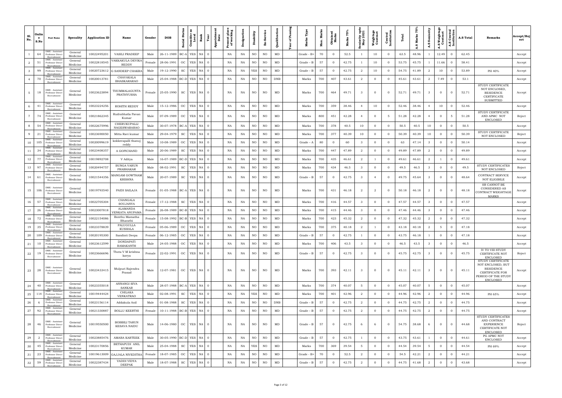| S1.<br>No.     | Onlin<br>$\cdot$ e<br>S.No | <b>Post Name</b>                                                  | Specality           | <b>Application ID</b> | Name                                 | Gender | <b>DOB</b>                 | nsider<br>Local<br>Ö.<br>cial<br>ုပ္ပိ | Rank     | Present place<br>of working<br>ointm<br>Date<br>Iй<br>Æ | ്  | Disability  |     | Qualification | டீ<br>ិច<br>eat |             | <b>Мах.</b> | Obta<br>Mai    |       | eniority upt<br>May 2021 | Weightage<br>Contract | Central<br>Institution |       | å<br>w | Seniority<br>A.S | A.S Weightage<br>Contract | ិ ទី<br>ស<br>ទី <u>ដ</u> ី<br>A.S<br>Ins | <b>A.S Total</b> | <b>Remarks</b>                                                                                                   | Accept/Rej<br>ect |
|----------------|----------------------------|-------------------------------------------------------------------|---------------------|-----------------------|--------------------------------------|--------|----------------------------|----------------------------------------|----------|---------------------------------------------------------|----|-------------|-----|---------------|-----------------|-------------|-------------|----------------|-------|--------------------------|-----------------------|------------------------|-------|--------|------------------|---------------------------|------------------------------------------|------------------|------------------------------------------------------------------------------------------------------------------|-------------------|
|                | 64                         | DME - Assistan<br>Professor Direct<br>Recruitmen                  | General<br>Medicine | 10022495201           | <b>VASILI PRADEEP</b>                | Male   | 26-11-1989                 | BC-A YES                               | NA       | NA<br>$\Omega$                                          | NA | NO          | NO. | MD            |                 | Grade - B+  | 70          | $\overline{0}$ | 52.5  |                          | 10                    | $\overline{0}$         | 63.5  | 48.96  |                  | 12.49                     | $\Omega$                                 | 62.45            |                                                                                                                  | Accept            |
| $\overline{a}$ | 51                         | DME - Assistant<br>Professor Direct<br>Recruitment                | General<br>Medicine | 10022818545           | VAKKAKULA DEVIKA<br><b>REDDY</b>     | Female | 28-06-1991                 | OC<br>YES                              | NA       | NA<br>$\Omega$                                          | NA | NO          | NO. | $\rm MD$      |                 | Grade – B   | 57          | $\overline{0}$ | 42.75 |                          | 10                    | $\overline{0}$         | 53.75 | 45.75  |                  | 11.66                     | -0                                       | 58.41            |                                                                                                                  | Accept            |
|                | 99                         | DME - Assistan<br>Professor Direct<br>Recruitment                 | General<br>Medicine | 10020723612           | <b>G SANDEEP CHAKR</b>               | Male   | 19-12-1990                 | <b>SC</b><br>YES                       | NA       | NA<br>- 0                                               | NA | <b>YES</b>  | NO  | MD            |                 | $Grade - B$ | 57          | $\overline{0}$ | 42.75 | 2                        | 10                    | $\overline{0}$         | 54.75 | 41.89  | $\overline{2}$   | 10                        | $\Omega$                                 | 53.89            | PH 40%                                                                                                           | Accept            |
|                | 70                         | DME - Assistan<br>Professor Direct                                | General<br>Medicine | 10020013781           | CHAVAKALA<br><b>BHASKARARAO</b>      | Male   | 25-04-1988 BC-D            | YES                                    | NA       | NA                                                      | NA | NO          | NO  | <b>DNB</b>    |                 | Marks       | 700         | 407            | 43.61 | $\overline{2}$           | $\overline{0}$        | $\overline{0}$         | 45.61 | 43.61  | 2                | 7.49                      | $\Omega$                                 | 53.1             |                                                                                                                  | Accept            |
| 5 <sup>5</sup> | 18                         | DME - Assistant<br>Professor Direct<br>Recruitment                | General<br>Medicine | 10023623894           | THUMMALAGUNTA<br>PRATHYUSHA          | Female | 25-05-1990                 | SC                                     | YES NA   | NA                                                      | NA | NO          | NO  | MD            |                 | Marks       | 700         | 464            | 49.71 | - 3                      | $\overline{0}$        | $\Omega$               | 52.71 | 49.71  | $\mathbf{3}$     | $\overline{0}$            | $\overline{0}$                           | 52.71            | STUDY CERTIFICATE<br>NOT ENCLOSED,<br><b>RESIDENCE</b><br>CERTIFICATE<br><b>SUBMITTED</b>                        | Accept            |
| 6              | 41                         | DME - Assistan<br>Professor Direc<br>Recruitment                  | General<br>Medicine | 10023224256           | ROHITH REDDY                         | Male   | 15-12-1986                 | YES<br>$_{\rm OC}$                     | NA       | NA                                                      | NA | $_{\rm NO}$ | NO  | MD            |                 | Marks       | 700         | 359            | 38.46 |                          | 10                    | $\overline{0}$         | 52.46 | 38.46  |                  | 10                        | $\overline{0}$                           | 52.46            |                                                                                                                  | Accept            |
| $7^{\circ}$    | 74                         | DME - Assistant<br>Professor Direct<br>Recruitment                | General<br>Medicine | 10021862345           | Rudrabhatla Pavan<br>Kumar           | Male   | 07-09-1989                 | OC                                     | YES NA   | NA                                                      | NA | <b>NO</b>   | NO  | MD            |                 | Marks       | 800         | 451            | 42.28 | -4                       | $\overline{0}$        | - 5                    | 51.28 | 42.28  | -4               | $\overline{0}$            | - 5                                      | 51.28            | STUDY CERTIFICATE<br>AND APMC NOT<br><b>ENCLOSED</b>                                                             | Reject            |
| 8              | 54                         | DME - Assistar<br>Professor Direct<br>Recruitment                 | General<br>Medicine | 10022675996           | CHERUKUPALLI<br>NAGESWARARAO         | Male   | 30-07-1978 BC-A            |                                        | YES NA   | NA                                                      | NA | $_{\rm NO}$ | NO  | MD            |                 | Marks       | 700         | 378            | 40.5  | 10                       | $\overline{0}$        | $\overline{0}$         | 50.5  | 40.5   | 10               | $\overline{0}$            | $\overline{0}$                           | 50.5             |                                                                                                                  | Accept            |
| 9              | 21                         | DME - Assistan<br>Professor Direct<br>Recruitment                 | General<br>Medicine | 10023690050           | Mitta Ravi kumar                     | Male   | 29-04-1979                 | SC                                     | YES NA   | NA<br>$\Omega$                                          | NA | $_{\rm NO}$ | NO  | MD            |                 | Marks       | 700         | 377            | 40.39 | 10                       | $\overline{0}$        | $\overline{0}$         | 50.39 | 40.39  | 10               | $\overline{0}$            | -0                                       | 50.39            | STUDY CERTIFICATE<br>NOT ENCLOSED                                                                                | Reject            |
| 10             | 105                        | DME - Assistan<br>Professor Direct<br>Recruitment                 | General<br>Medicine | 1002009961            | kokkerapalli thanuj<br>reddy         | Male   | 10-08-1989                 | OC                                     | YES NA   | NA<br>$\Omega$                                          | NA | $_{\rm NO}$ | NO  | MD            |                 | $Grade - A$ | 80          | $\overline{0}$ | 60    | 3                        | $\overline{0}$        | $\overline{0}$         | 63    | 47.14  | $\mathbf{3}$     | $\overline{0}$            | -0                                       | 50.14            |                                                                                                                  | Accept            |
| 11             | 34                         | DME - Assistant<br>Professor Direct<br>Recruitment                | General<br>Medicine | 10023408357           | A GOPICHAND                          | Male   | 20-06-1989                 | SC                                     | YES NA 0 | NA                                                      | NA | NO          | NO  | MD            |                 | Marks       | 700         | 447            | 47.89 | $\overline{a}$           | $\overline{0}$        | $\overline{0}$         | 49.89 | 47.89  | $\overline{a}$   | $\overline{0}$            | $\overline{0}$                           | 49.89            |                                                                                                                  | Accept            |
| 12             | 77                         | DME - Assistant<br>Professor Direct<br>Recruitment                | General<br>Medicine | 10019892708           | V Aditya                             | Male   | 16-07-1989                 | <b>YES</b><br>$BC-D$                   | NA       | NA<br>- 0                                               | NA | $_{\rm NO}$ | NO  | MD            |                 | Marks       | 700         | 435            | 46.61 | $\overline{2}$           |                       | $\overline{0}$         | 49.61 | 46.61  | $\overline{a}$   |                           | $\overline{0}$                           | 49.61            |                                                                                                                  | Accept            |
| 13             | 97                         | DME - Assistant<br>Professor Direct<br>Recruitmer                 | General<br>Medicine | 10020494757           | <b>BUNGA VARUN</b><br>PRABHAKAR      | Male   | 08-02-1991                 | SC<br>YES                              | NA       | NA<br>$\Omega$                                          | NA | $_{\rm NO}$ | NO  | $\rm MD$      |                 | Marks       | 700         | 434            | 46.5  | -3                       | $\overline{0}$        | $\overline{0}$         | 49.5  | 46.5   | $\mathbf{3}$     | $\overline{0}$            | $\overline{0}$                           | 49.5             | STUDY CERTIFICATES<br>NOT ENCLOSED                                                                               | Reject            |
| 14             | 61                         | <b>DME</b> - Assistant<br>Professor Direct<br>Recruitment         | General<br>Medicine | 10021544356           | AANGAM GOWTHAM<br>KRISHNA            | Male   | 20-07-1989                 | SC                                     | YES NA   | NA                                                      | NA | NO          | NO  | MD            |                 | Grade – B   | 57          | $\overline{0}$ | 42.75 | -3                       | $\overline{4}$        | $\overline{0}$         | 49.75 | 45.64  | $\mathbf{3}$     | $\overline{0}$            | $\overline{0}$                           | 48.64            | CONTRACT SERVICE<br>NOT ELIGIBILE                                                                                | Accept            |
| 15             | 106                        | DME - Assistant<br>Professor Direct<br>Recruitment                | General<br>Medicine | 10019793540           | PAIDI SAILAJA                        | Female | $01-05-1988$ BC-A YES NA 0 |                                        |          | NA                                                      | NA | NO          | NO  | MD            |                 | Marks       | 700         | 431            | 46.18 | $\overline{a}$           | $\overline{a}$        | $\overline{0}$         | 50.18 | 46.18  | $\overline{2}$   | $\overline{0}$            | $\overline{0}$                           | 48.18            | SR CANNOT BE<br>CONSIDERED AS<br>CONTRACT WEIGHTAGE<br><b>MARKS</b>                                              | Accept            |
| 16             | 57                         | DME - Assistan<br>Professor Direct<br>Recruitment                 | General<br>Medicine | 10022705304           | CHANGALA<br>SOUJANYA                 | Female | 17-12-1988                 | SC                                     | YES NA 0 | NA                                                      | NA | NO          | NO  | MD            |                 | Marks       | 700         | 416            | 44.57 | - 3                      | $\overline{0}$        | $\overline{0}$         | 47.57 | 44.57  | $\mathbf{3}$     | $\overline{0}$            | $\overline{0}$                           | 47.57            |                                                                                                                  | Accept            |
| 17             | 26                         | DME - Assistant<br>Professor Direct<br>Recruitmen                 | General<br>Medicine | 1002300781            | ALAMANDA<br><b>VENKATA ANUPAMA</b>   | Female |                            | 26-08-1989 BC-B YES NA 0               |          | NA                                                      | NA | NO          | NO  | MD            |                 | Marks       | 700         | 415            | 44.46 | -3                       | $\overline{0}$        | $\overline{0}$         | 47.46 | 44.46  | -3               | $\overline{0}$            | -0                                       | 47.46            |                                                                                                                  | Accept            |
| 18             | 72                         | DME - Assistant<br>Professor Direct<br>Recruitmen                 | General<br>Medicine | 10022154086           | Bonthu Mamatha<br>Bharathi           | Female |                            | 15-08-1992 BC-B YES NA 0               |          | NA                                                      | NA | $_{\rm NO}$ | NO. | $\rm MD$      |                 | Marks       | 700         | 423            | 45.32 | $\overline{2}$           | $\overline{0}$        | $\overline{0}$         | 47.32 | 45.32  | $\overline{a}$   | $\overline{0}$            | $\Omega$                                 | 47.32            |                                                                                                                  | Accept            |
| 19             | 35                         | DME - Assistant<br>Professor Direct<br>Recruitment                | General<br>Medicine | 10023378839           | PALUGULLA<br>KUSHALA                 | Female | 05-06-1989                 | OC<br>YES                              | NA       | NA<br>$\Omega$                                          | NA | NO          | NO  | MD            |                 | Marks       | 700         | 375            | 40.18 | -2                       |                       | $\overline{0}$         | 43.18 | 40.18  | 2                | 5                         | - 0                                      | 47.18            |                                                                                                                  | Accept            |
| 20             | 109                        | DME - Assistant<br>Professor Direct<br>Recruitment                | General<br>Medicine | 10020195300           | Sandinti Deepa                       | Female | 06-12-1985                 | <b>YES</b><br>OC                       | $NA$ 0   | NA                                                      | NA | NO          | NO. | $\rm MD$      |                 | $Grade - B$ | 57          | $\overline{0}$ | 42.75 |                          | $\overline{0}$        | $\overline{0}$         | 43.75 | 46.18  |                  | $\overline{0}$            | $\overline{0}$                           | 47.18            |                                                                                                                  | Accept            |
| 21             | 10                         | DME - Assistant<br>Professor Direct                               | General<br>Medicine | 10023612599           | DONDAPATI<br>RAMAKANTH               | Male   | 24-05-1988                 | <b>OC</b><br>YES                       | NA       | NA<br>$\Omega$                                          | NA | NO          | NO  | $\rm MD$      |                 | Marks       | 700         | 406            | 43.5  | $\mathbf{3}$             | $\overline{0}$        | $\overline{0}$         | 46.5  | 43.5   | $\mathbf{3}$     | $\overline{0}$            | $\overline{0}$                           | 46.5             |                                                                                                                  | Accept            |
| 22             | 19                         | DME - Assistant<br>Professor Direct<br>Recruitment                | General<br>Medicine | 10023666696           | Thota V M krishna<br>kavya           |        | Female 22-02-1991          | OC                                     | YES NA 0 | NA                                                      | NA | NO.         | NO  | MD            |                 | $Grade - B$ | 57          | $\overline{0}$ | 42.75 | 3                        | $\overline{0}$        | $\overline{0}$         | 45.75 | 42.75  | $\mathbf{3}$     | $\overline{0}$            | $\overline{0}$                           | 45.75            | IV TO VIII STUDY<br>CERTIFICATE NOT<br>ENCLOSED                                                                  | Reject            |
| 23             | 28                         | DME - Assistant<br>Professor Direct<br>Recruitment                | General<br>Medicine | 10023433415           | Mulpuri Rajendra<br>Prasad           | Male   |                            | 12-07-1981 OC YES NA 0                 |          | NA                                                      | NA | NO.         | NO  | MD            |                 | Marks       | 700         | 393            | 42.11 | 3                        | $\overline{0}$        | $\overline{0}$         | 45.11 | 42.11  | $\mathbf{3}$     | $\overline{0}$            | $\overline{0}$                           | 45.11            | STUDY CERTIFICATE<br>NOT ENCLOSED, BUT<br>RESIDENCE<br>CERTIFICATE FOR<br>PERIOD OF THE STUDY<br><b>ENCLOSED</b> | Accept            |
| 24             | 40                         | DME - Assistant<br>Professor Direct<br>Recruitment                | General<br>Medicine | 10023355018           | ANNANGI SIVA<br>SANKAR               | Male   |                            | 28-07-1988 BC-A YES NA 0               |          | NA                                                      | NA | $_{\rm NO}$ | NO  | MD            |                 | Marks       | 700         | 374            | 40.07 | -5                       | $\overline{0}$        | $\overline{0}$         | 45.07 | 40.07  | 5                | $\overline{0}$            | $\overline{0}$                           | 45.07            |                                                                                                                  | Accept            |
| 25             | 114                        | DME - Assistant<br>Professor Direct<br>Recruitment                | General<br>Medicine | 10019444424           | CHILAKA<br>VENKATRAO                 | Male   | 02-08-1991                 | SC                                     | YES NA 0 | NA                                                      | NA | YES         | NO  | $\rm MD$      |                 | Marks       | 700         | 401            | 42.96 | $\overline{a}$           | $\overline{0}$        | $\overline{0}$         | 44.96 | 42.96  | $\overline{a}$   | $\overline{0}$            | $\overline{0}$                           | 44.96            | PH 65%                                                                                                           | Accept            |
| 26             | - 6                        | DME - Assistant<br>Professor Direct                               | General<br>Medicine | 10023156114           | Addakula Anil                        | Male   | 01-08-1988                 | SC                                     | YES NA 0 | NA                                                      | NA | NO          | NO  | <b>DNB</b>    |                 | $Grade - B$ | 57          | $\overline{0}$ | 42.75 | $\overline{a}$           | $\overline{0}$        | $\overline{0}$         | 44.75 | 42.75  | $\overline{a}$   | $\overline{0}$            | $\overline{0}$                           | 44.75            |                                                                                                                  | Accept            |
| 27             | 92                         | Recruitment<br>DME - Assistant<br>Professor Direct<br>Recruitment | General<br>Medicine | 10021330887           | <b>BOLLU KEERTHI</b>                 | Female |                            | 10-11-1988 BC-B YES NA 0               |          | NA                                                      | NA | $_{\rm NO}$ | NO  | $\rm MD$      |                 | $Grade - B$ | 57          | $\overline{0}$ | 42.75 | $\overline{2}$           | $\overline{0}$        | $\overline{0}$         | 44.75 | 42.75  | $\overline{a}$   | $\overline{0}$            | $\overline{0}$                           | 44.75            |                                                                                                                  | Accept            |
| 28             | 46                         | DME - Assistant<br>Professor Direct<br>Recruitment                | General<br>Medicine | 10019550500           | BOBBILI TARUN<br><b>KESAVA NAIDU</b> | Male   |                            | 14-06-1980 OC YES NA 0                 |          | NA                                                      | NA | NO          | NO  | MD            |                 | $Grade - B$ | 57          | $\overline{0}$ | 42.75 | -6                       | - 6                   | $\overline{0}$         | 54.75 | 38.68  | - 6              | $\overline{0}$            | $\overline{0}$                           | 44.68            | STUDY CERTIFICATES<br>AND CONTRACT<br>EXPERIENCE<br>CERTIFICATE NOT<br>ENCLOSED                                  | Reject            |
| 29             | $\overline{2}$             | DME - Assistant<br>Professor Direct<br>Recruitment                | General<br>Medicine | 10023885476           | AMARA KARTEEK                        | Male   |                            | 30-05-1990 BC-D YES NA 0               |          | NA                                                      | NA | NO          | NO  | $\rm MD$      |                 | $Grade - B$ | 57          | $\overline{0}$ | 42.75 |                          | $\overline{0}$        | $\overline{0}$         | 43.75 | 43.61  |                  | $\overline{0}$            | $\Omega$                                 | 44.61            | PG APMC NOT<br><b>ENCLOSED</b>                                                                                   | Accept            |
| 30             | 45                         | DME - Assistant<br>Professor Direct<br>Recruitment                | General<br>Medicine | 10023170856           | BETHAPUDI ANIL<br>KUMAR              | Male   | 25-04-1988                 | SC                                     | YES NA 0 | NA                                                      | NA | YES         | NO  | $\rm MD$      |                 | Marks       | 700         | 369            | 39.54 | -5                       | $\overline{0}$        | $\overline{0}$         | 44.54 | 39.54  | 5                | $\overline{0}$            | $\overline{0}$                           | 44.54            | PH 69%                                                                                                           | Accept            |
| 31             | 23                         | DME - Assistant<br>Professor Direct<br>Recruitment                | General<br>Medicine | 10019613009           | <b>GAJJALA NIVEDITHA</b>             | Female | 18-07-1985                 | OC<br><b>YES</b>                       | $NA$ 0   | NA                                                      | NA | NO          | NO  | $\rm MD$      |                 | Grade - B+  | 70          | $\overline{0}$ | 52.5  | <sup>2</sup>             | $\overline{0}$        | $\overline{0}$         | 54.5  | 42.21  | $\overline{a}$   | $\overline{0}$            | $\overline{0}$                           | 44.21            |                                                                                                                  | Accept            |
| 32             | 59                         | DME - Assistant<br>Professor Direct                               | General<br>Medicine | 10022387434           | VADDI VIDYA<br>DEEPAK                | Male   | 18-07-1988                 | SC<br>YES                              | NA       | NA<br>$\overline{0}$                                    | NA | NO          | NO  | $\rm MD$      |                 | $Grade - B$ | 57          | $\overline{0}$ | 42.75 | 2                        | $\overline{0}$        | $\overline{0}$         | 44.75 | 41.68  | $\overline{a}$   | $\overline{0}$            | $\overline{0}$                           | 43.68            |                                                                                                                  | Accept            |
|                |                            |                                                                   |                     |                       |                                      |        |                            |                                        |          |                                                         |    |             |     |               |                 |             |             |                |       |                          |                       |                        |       |        |                  |                           |                                          |                  |                                                                                                                  |                   |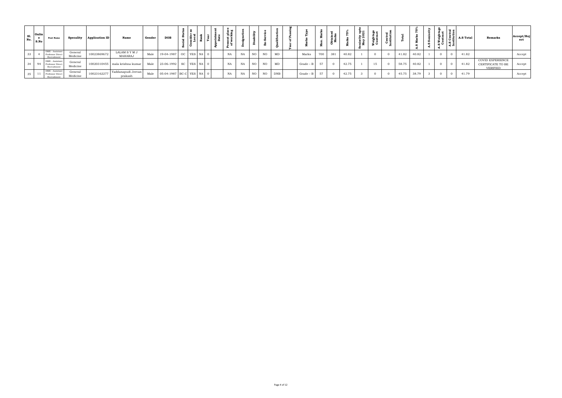| S1.<br>No. | Onlin<br>$\mathsf{S}.\mathsf{No}$ | <b>Post Name</b>                                      |                     | Specality   Application ID | <b>Name</b>                      | Gender | <b>DOB</b>                 | । ≌ –ੱ | ъ п | ്യ<br>ខិត |    |    |    |            |             |     |     |       | ਤੋਂ ਲ |    |       |       | $\rightarrow$ |  | $\begin{array}{c} \begin{array}{c} \hline \end{array} \end{array}$ $\begin{array}{c} \hline \end{array}$ $\begin{array}{c} \hline \end{array}$ $\begin{array}{c} \hline \end{array}$ $\begin{array}{c} \hline \end{array}$ $\begin{array}{c} \hline \end{array}$ $\begin{array}{c} \hline \end{array}$ $\begin{array}{c} \hline \end{array}$ | Remarks                                           | Accept/Rej<br>ect |
|------------|-----------------------------------|-------------------------------------------------------|---------------------|----------------------------|----------------------------------|--------|----------------------------|--------|-----|-----------|----|----|----|------------|-------------|-----|-----|-------|-------|----|-------|-------|---------------|--|----------------------------------------------------------------------------------------------------------------------------------------------------------------------------------------------------------------------------------------------------------------------------------------------------------------------------------------------|---------------------------------------------------|-------------------|
| 33         |                                   | DME - Assistant<br>Professor Direct<br>Recruitment    | General<br>Medicine | 10023869672                | LALAM S Y M J<br>MAHARAJ         | Male   | 19-04-1987 OC YES NA 0     |        |     | NA        | NA | NO | NO | MD         | Marks       | 700 | 381 | 40.82 |       |    | 41.82 | 40.82 |               |  | 41.82                                                                                                                                                                                                                                                                                                                                        |                                                   | Accept            |
| 34 l       |                                   | DME - Assistant<br>94 Professor Direct<br>Recruitment | General<br>Medicine |                            | $10020310455$ mala krishna kumar | Male   | 23-06-1992 SC YES NA 0     |        |     | NA        | NA | NO | NO | MD         | $Grade - B$ | 57  |     | 42.75 |       | 15 | 58.75 | 40.82 |               |  | 41.82                                                                                                                                                                                                                                                                                                                                        | COVID EXPERIENCE<br>CERTIFICATE TO BE<br>VERIFIED | Accept            |
| 35         |                                   | DME - Assistant<br>Professor Direct<br>Recruitment    | General<br>Medicine | 10023162277                | Yaddanapudi Jeevan<br>prakash    | Male   | $05-04-1987$ BC-C YES NA 0 |        |     | NA        | NA | NO | NO | <b>DNB</b> | $Grade - B$ | 57  |     | 42.75 |       |    | 45.75 | 38.79 |               |  | 41.79                                                                                                                                                                                                                                                                                                                                        |                                                   | Accept            |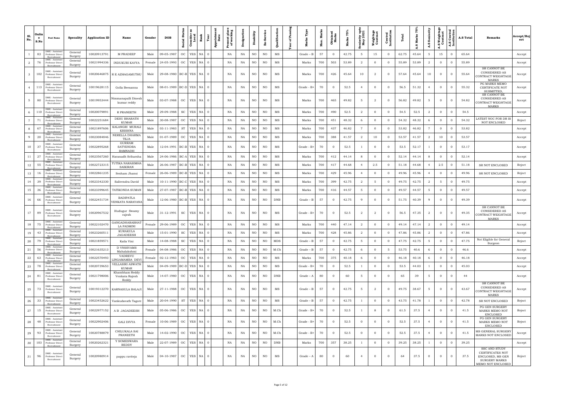| S1.<br>No.     | Onlin<br>e<br>S.No | <b>Post Name</b>                                                      | Specality          | <b>Application ID</b> | Name                                                | Gender | <b>DOB</b>                   | nsider<br>Local<br>ō.<br>$\overline{\textbf{a}}$<br>ಕಿ | Rank     | Present place<br>of working<br>ointm<br>Date<br>App | ă  | isability<br>Ä |     | Qualification | Ä<br>ិច<br>ä |             | Š<br><b>Мах.</b> | Obtai<br>Mar   | r<br>Marks | Seniority upt<br>May 2021 | Weightage<br>Contract | <b>Central</b><br>Institution |       | Е<br>Ø. | Seniorit<br>A.S | <b>A.S Weightag</b><br>Contract | Central<br>titution<br>A.S | A.S Total | <b>Remarks</b>                                                                                     | Accept/Rej<br>ect |
|----------------|--------------------|-----------------------------------------------------------------------|--------------------|-----------------------|-----------------------------------------------------|--------|------------------------------|--------------------------------------------------------|----------|-----------------------------------------------------|----|----------------|-----|---------------|--------------|-------------|------------------|----------------|------------|---------------------------|-----------------------|-------------------------------|-------|---------|-----------------|---------------------------------|----------------------------|-----------|----------------------------------------------------------------------------------------------------|-------------------|
|                | 83                 | DME - Assistan<br>Professor Direct<br>Recruitmen                      | General<br>Surgery | 10020913791           | M PRADEEP                                           | Male   | 09-05-1987                   | YES<br>OC                                              | NA       | NA<br>$\Omega$                                      | NA | NO             | NO. | $_{\rm MS}$   |              | Grade – B   | 57               | $\Omega$       | 42.75      | 5                         | 15                    | $\overline{0}$                | 62.75 | 45.64   | 5               | 15                              | $\Omega$                   | 65.64     |                                                                                                    | Accept            |
| $\overline{a}$ | 76                 | DME - Assistant<br>Professor Direct<br>Recruitmen                     | General<br>Surgery | 10021994336           | INDUKURI KAVYA                                      | Female | 24-05-1993                   | <b>YES</b><br>OC                                       | NA       | NA<br>$\Omega$                                      | NA | NO             | NO  | $_{\rm MS}$   |              | Marks       | 700              | 503            | 53.89      | 2                         | $\overline{0}$        | $\overline{0}$                | 55.89 | 53.89   | $\overline{2}$  |                                 | $\overline{0}$             | 55.89     |                                                                                                    | Accept            |
| $\mathbf{3}$   | 102                | DME - Assistant<br>Professor Direct<br>Recruitment                    | General<br>Surgery | 10020646875           | R E AZHAGAMUTHU                                     | Male   | 29-08-1980 BC-B YES NA 0     |                                                        |          | NA                                                  | NA | NO             | NO  | MS            |              | Marks       | 700              | 426            | 45.64      | 10                        | $\overline{2}$        | $\Omega$                      | 57.64 | 45.64   | 10              | $\Omega$                        | $\overline{0}$             | 55.64     | SR CANNOT BE<br>CONSIDERED AS<br>CONTRACT WEIGHTAGE<br><b>MARKS</b>                                | Accept            |
| $\overline{4}$ | 113                | DME - Assistant<br>Professor Direct<br>Recruitment                    | General<br>Surgery | 10019628115           | Golla Beesanna                                      | Male   | 08-01-1989   BC-D   YES   NA |                                                        |          | NA                                                  | NA | <b>NO</b>      | NO  | MS            |              | Grade - B+  | 70               | $\overline{0}$ | 52.5       | $\overline{4}$            | $\overline{0}$        | $\Omega$                      | 56.5  | 51.32   | $\overline{4}$  | $\overline{0}$                  | $\Omega$                   | 55.32     | PG MARKS MEMO<br>CERTIFICATE NOT<br>SUBMITTED,                                                     | Accept            |
| 5              | 80                 | DME - Assistant<br>Professor Direct<br>Recruitment                    | General<br>Surgery | 10019953444           | Nimmanapalli Dinesh<br>kumar reddy                  | Male   | 03-07-1988                   | OC                                                     | YES NA 0 | NA                                                  | NA | <b>NO</b>      | NO  | MS            |              | Marks       | 700              | 465            | 49.82      | 5                         | $\overline{2}$        | $\Omega$                      | 56.82 | 49.82   | 5               | $\overline{0}$                  | $\overline{0}$             | 54.82     | SR CANNOT BE<br>CONSIDERED AS<br>CONTRACT WEIGHTAGE<br>MARKS                                       | Accept            |
| 6              | 110                | DME - Assistant<br>Professor Direct<br>Recruitment                    | General<br>Surgery | 10020079891           | R PRANEETH                                          | Male   | 29-09-1988                   | SC<br><b>YES</b>                                       | $NA$ 0   | NA                                                  | NA | $_{\rm NO}$    | NO  | MS            |              | Marks       | 700              | 490            | 52.5       | 2                         | $\mathbf{0}$          | $\overline{0}$                | 54.5  | 52.5    | 2               | $\Omega$                        | $\Omega$                   | 54.5      |                                                                                                    | Accept            |
|                | 71                 | DME - Assistan<br>Professor Direct                                    | General<br>Surgery | 10022251684           | <b>DESU BHARATH</b><br>KUMAR                        | Male   | 30-08-1987                   | $_{\rm OC}$<br><b>YES</b>                              | NA       | NA                                                  | NA | NO             | NO  | MS            |              | Marks       | 700              | 451            | 48.32      | -6                        | $\overline{0}$        | $\overline{0}$                | 54.32 | 48.32   | 6               | $\Omega$                        | $\overline{0}$             | 54.32     | LATEST NOC FOR DR IS<br>NOT ENCLOSED                                                               | Reject            |
| 8              | 67                 | DME - Assistant<br>Professor Direct                                   | General<br>Surgery | 10021897606           | KALANGRI MURALI<br><b>KRISHNA</b>                   | Male   | 03-11-1983                   | ST<br>YES                                              | NA       | NA<br>$\cap$                                        | NA | NO             | NO  | MS            |              | Marks       | 700              | 437            | 46.82      | 7                         | $\overline{0}$        | $\overline{0}$                | 53.82 | 46.82   | 7               | $\Omega$                        | $\overline{0}$             | 53.82     |                                                                                                    | Accept            |
| 9              | 20                 | DME - Assistan<br>Professor Direct                                    | General<br>Surgery | 10023084846           | NERELLA DHARMA<br><b>TEJA</b>                       | Male   | 01-07-1989                   | OC<br><b>YES</b>                                       | NA       | NA                                                  | NA | $_{\rm NO}$    | NO  | MS            |              | Marks       | 700              | 388            | 41.57      | 2                         | 10                    | $\overline{0}$                | 53.57 | 41.57   | 2               | 10                              | $\overline{0}$             | 53.57     |                                                                                                    | Accept            |
| 10             | 37                 | DME - Assistant<br>Professor Direct<br>Recruitment                    | General<br>Surgery | 10022895268           | <b>GURRAM</b><br><b>SATYENDRA</b><br><b>RAMNADH</b> | Male   |                              | 12-04-1991   BC-B   YES   NA                           |          | NA                                                  | NA | NO             | NO  | MS            |              | Grade - B+  | 70               | $\overline{0}$ | 52.5       |                           | $\overline{0}$        | $\Omega$                      | 53.5  | 52.17   |                 | $\overline{0}$                  | $\Omega$                   | 53.17     |                                                                                                    | Accept            |
| 11             | 27                 | DME - Assistar<br>Professor Direct<br>Recruitment                     | General<br>Surgery | 10023567260           | Haranadh Sriharsha                                  | Male   |                              | 24-06-1986 BC-A YES NA 0                               |          | NA                                                  | NA | NO             | NO  | MS            |              | Marks       | 700              | 412            | 44.14      | 8                         | $\overline{0}$        | $\overline{0}$                | 52.14 | 44.14   | 8               | $\Omega$                        | $\overline{0}$             | 52.14     |                                                                                                    | Accept            |
| 12             | 55                 | DME - Assistan<br>Professor Direct<br>Recruitmen                      | General<br>Surgery | 1002272331            | TUTIKA NARASIMHA<br>SAIKIRAN                        | Male   |                              | 26-06-1987 BC-B YES NA 0                               |          | NA                                                  | NA | NO             | NO  | MS            |              | Marks       | 700              | 417            | 44.68      | $\overline{4}$            | 2.5                   | $\Omega$                      | 51.18 | 44.68   |                 | 2.5                             | $\mathbf{0}$               | 51.18     | SR NOT ENCLOSED                                                                                    | Reject            |
| 13             | 16                 | DME - Assistant<br>Professor Direct<br>Recruitmen                     | General<br>Surgery | 10022861235           | Sesham Jhansi                                       | Female |                              | 26-06-1989 BC-B YES NA 0                               |          | NA                                                  | NA | NO             | NO  | MS            |              | Marks       | 700              | 429            | 45.96      | $\overline{4}$            | $\overline{0}$        | $\overline{0}$                | 49.96 | 45.96   | $\overline{4}$  | $\Omega$                        | $\overline{0}$             | 49.96     | SR NOT ENCLOSED                                                                                    | Reject            |
| 14             | 39                 | DME - Assistant<br>Professor Direct<br>Recruitmen                     | General<br>Surgery | 10023342330           | Salivendra David                                    | Male   | 10-11-1990 BC-C              | <b>YES</b>                                             | NA       | NA<br>- 0                                           | NA | NO             | NO  | $_{\rm MS}$   |              | Marks       | 700              | 399            | 42.75      | 2                         | - 5                   | $\overline{0}$                | 49.75 | 42.75   | 2               |                                 | $\overline{0}$             | 49.75     |                                                                                                    | Accept            |
| 15             | 36                 | DME - Assistant<br>Professor Direct<br>Recruitmer                     | General<br>Surgery | 10023399645           | TATIKONDA SUMAN                                     | Male   | 27-07-1987 BC-B              | YES                                                    | NA       | NA<br>- 0                                           | NA | NO             | NO  | $_{\rm MS}$   |              | Marks       | 700              | 416            | 44.57      | - 5                       | $\overline{0}$        | $\overline{0}$                | 49.57 | 44.57   | 5               | $\Omega$                        | $\overline{0}$             | 49.57     |                                                                                                    | Accept            |
| 16             | 66                 | DME - Assistan<br>Professor Direct<br>Recruitment                     | General<br>Surgery | 10022451734           | BADIPATLA<br><b>/ENKATA NARAYAN</b>                 | Male   |                              | 12-06-1980 BC-B YES NA                                 |          | NA                                                  | NA | NO             | NO  | <b>DNB</b>    |              | Grade – B   | 57               | $\overline{0}$ | 42.75      | -9                        | $\overline{0}$        | $\overline{0}$                | 51.75 | 40.39   | -9              | $\overline{0}$                  | $\overline{0}$             | 49.39     |                                                                                                    | Accept            |
| 17             | 89                 | <b>ME</b> - Assistant<br>Professor Direct<br>Recruitment              | General<br>Surgery | 10020967532           | Hudugur Swamy<br>rajesh                             | Male   | 31-12-1991                   | SC                                                     | YES NA 0 | NA                                                  | NA | NO             | NO  | MS            |              | Grade - B+  | 70               | $\overline{0}$ | 52.5       | $\overline{a}$            | $\overline{a}$        | $\overline{0}$                | 56.5  | 47.35   | $\overline{a}$  | $\Omega$                        | $\overline{0}$             | 49.35     | SR CANNOT BE<br>CONSIDERED AS<br>CONTRACT WEIGHTAGE<br><b>MARKS</b>                                | Accept            |
| 18             | 75                 | DME - Assistan<br>Professor Direct<br>Recruitment                     | General<br>Surgery | 10022102470           | GANGADHARABHAT<br>LA PADMINI                        | Female | 29-06-1989                   | OC                                                     | YES NA 0 | NA                                                  | NA | NO             | NO  | $_{\rm MS}$   |              | Marks       | 700              | 440            | 47.14      | $\overline{a}$            | $\overline{0}$        | $\overline{0}$                | 49.14 | 47.14   | $\overline{a}$  | $\Omega$                        | $\overline{0}$             | 49.14     |                                                                                                    | Accept            |
| 19             | 43                 | DME - Assistant<br>Professor Direct<br>Recruitment                    | General<br>Surgery | 1002326051            | KURAKULA<br><b>JAGADEESH</b>                        | Male   | 15-01-1990                   | SC                                                     | YES NA 0 | NA                                                  | NA | NO             | NO  | MS            |              | Marks       | 700              | 428            | 45.86      | 2                         | $\overline{0}$        | $\Omega$                      | 47.86 | 45.86   | $\overline{a}$  |                                 | $\overline{0}$             | 47.86     |                                                                                                    | Accept            |
| 20             | 79                 | <b>DME</b> - Assistant<br>Professor Direct<br>Recruitment             | General<br>Surgery | 10021859571           | Kaila Vini                                          | Male   | 14-08-1988                   | SC                                                     | YES NA 0 | NA                                                  | NA | $_{\rm NO}$    | NO  | <b>MDS</b>    |              | $Grade - B$ | 57               | $\overline{0}$ | 42.75      | 5                         | $\overline{0}$        | $\overline{0}$                | 47.75 | 42.75   | $5\overline{)}$ | $\overline{0}$                  | $\overline{0}$             | 47.75     | Not Eligible for General<br>Surgeon                                                                | Reject            |
| 21             | 56                 | DME - Assistant<br>Professor Direct                                   | General<br>Surgery | 10021635213           | D VNSSVAMS<br>Mahalakshmi                           | Female | 04-08-1986                   | OC                                                     | YES NA 0 | NA                                                  | NA | NO             | NO  | M.Ch          |              | $Grade - B$ | 57               | $\overline{0}$ | 42.75      | 6                         | $\overline{0}$        | 5                             | 53.75 | 40.6    | 6               | $\Omega$                        | $\overline{0}$             | 46.6      |                                                                                                    | Accept            |
| 22             | 63                 | DME - Assistant<br>Professor Direct                                   | General<br>Surgery | 10022570493           | VADREVU<br>LINGAMAMBA DEVI                          | Female | 02-12-1983                   | OC                                                     | YES NA 0 | NA                                                  | NA | NO             | NO  | $_{\rm MS}$   |              | Marks       | 700              | 375            | 40.18      | 6                         | $\overline{0}$        | $\overline{0}$                | 46.18 | 40.18   | 6               | $\overline{0}$                  | $\overline{0}$             | 46.18     |                                                                                                    | Accept            |
| 23             | 78                 | DME - Assistant<br>Professor Direct                                   | General<br>Surgery | 10020739653           | VELLASIRI ASWATH<br>KUMAR                           | Male   | 04-09-1989 BC-D YES NA 0     |                                                        |          | NA                                                  | NA | <b>NO</b>      | NO  | $_{\rm MS}$   |              | Grade - B+  | 70               | $\overline{0}$ | 52.5       |                           | $\overline{0}$        | $\overline{0}$                | 53.5  | 44.03   |                 | $\overline{0}$                  | $\overline{0}$             | 45.03     |                                                                                                    | Accept            |
| 24             | 81                 | DME - Assistant<br>Professor Direct<br>Recruitment                    | General<br>Surgery | 10021798006           | Khambham Reddy<br>Venkata Rajesh<br>Reddy           | Male   | 14-07-1980 OC YES NA 0       |                                                        |          | NA                                                  | NA | NO             | NO  | <b>DNB</b>    |              | $Grade - A$ | 80               | $\mathbf{0}$   | 60         | 5                         | $\overline{0}$        | $\overline{0}$                | 65    | 39      | 5               | $\overline{0}$                  | $\overline{0}$             | 44        |                                                                                                    | Accept            |
| 25             | 73                 | <b>DME</b> - Assistant<br>Professor Direct<br>Recruitment             | General<br>Surgery | 10019312270           | KARNASULA BALAJI                                    | Male   | 27-11-1988 OC YES NA 0       |                                                        |          | NA                                                  | NA | NO             | NO  | MS            |              | $Grade - B$ | 57               | $\overline{0}$ | 42.75      | 5                         | $\overline{a}$        | $\overline{0}$                | 49.75 | 38.67   | 5               | $\overline{0}$                  | $\overline{0}$             | 43.67     | SR CANNOT BE<br>CONSIDERED AS<br>CONTRACT WEIGHTAGE<br><b>MARKS</b>                                | Accept            |
| 26             | 33                 | <b>ME</b> - Assistant<br>Professor Direct<br>≷ecruitmen               | General<br>Surgery | 10023452622           | Vankudavath Tagore                                  | Male   | 20-04-1990                   | <b>ST</b>                                              | YES NA 0 | NA                                                  | NA | NO             | NO  | $_{\rm MS}$   |              | $Grade - B$ | 57               | $\overline{0}$ | 42.75      |                           | $\overline{0}$        | $\overline{0}$                | 43.75 | 41.78   |                 | $\Omega$                        | $\overline{0}$             | 42.78     | SR NOT ENCLOSED                                                                                    | Reject            |
| 27             | 15                 | DME - Assistant<br>Professor Direct<br>Recruitment                    | General<br>Surgery | 10022977152           | A B JAGADEESH                                       | Male   | 05-06-1986                   | OC                                                     | YES NA 0 | NA                                                  | NA | <b>NO</b>      | NO  | M.Ch          |              | Grade - B+  | 70               | $\overline{0}$ | 52.5       |                           | 8                     | $\overline{0}$                | 61.5  | 37.5    | $\overline{4}$  | $\overline{0}$                  | $\overline{0}$             | 41.5      | PG GEN SURGERY<br>MARKS MEMO NOT<br>ENCLOSED                                                       | Reject            |
| 28             | 48                 | <b>ME</b> - Assistant<br>Professor Direct<br>Recruitment              | General<br>Surgery | 10022902406           | <b>GALI DIVYA</b>                                   | Female | 10-06-1989                   | OC                                                     | YES NA 0 | NA                                                  | NA | NO             | NO  | M.Ch          |              | Grade - B+  | 70               | $\overline{0}$ | 52.5       | $\overline{0}$            | $\overline{0}$        | $\overline{0}$                | 52.5  | 37.5    | $\overline{4}$  | $\overline{0}$                  | $\overline{0}$             | 41.5      | PG GEN SURGERY<br>MARKS MEMO NOT<br><b>ENCLOSED</b>                                                | Reject            |
| 29             | 93                 | DME - Assistant<br>Professor Direct<br>Recruitment<br>DME - Assistant | General<br>Surgery | 10020788879           | CHILUKALA SAI<br>PRANEETH                           | Male   | 14-02-1990 OC                |                                                        | YES NA 0 | NA                                                  | NA | NO             | NO  | M.Ch          |              | Grade - B+  | 70               | $\overline{0}$ | 52.5       | $\overline{0}$            | $\overline{0}$        | $\overline{0}$                | 52.5  | 37.5    | $\overline{4}$  | $\overline{0}$                  | $\overline{0}$             | 41.5      | MS GENERAL SURGERY<br><b>MARKS NOT ENCLOSEL</b>                                                    | Accept            |
| 30             | 103                | Professor Direct                                                      | General<br>Surgery | 10020262321           | Y SOMESWARA<br>REDDY                                | Male   | 22-07-1989                   | OC<br><b>YES</b>                                       | NA       | NA<br>$\Omega$                                      | NA | NO             | NO  | <b>DNB</b>    |              | Marks       | 700              | 357            | 38.25      |                           | $\overline{0}$        | $\overline{0}$                | 39.25 | 38.25   |                 | $\overline{0}$                  | $\overline{0}$             | 39.25     |                                                                                                    | Accept            |
| 31             | 96                 | DME - Assistant<br>Professor Direct<br>Recruitment                    | General<br>Surgery | 10020980914           | pappu raviteja                                      | Male   | 04-10-1987                   | OC                                                     | YES NA   | NA                                                  | NA | NO             | NO  | MS            |              | $Grade - A$ | 80               | $\mathbf{0}$   | 60         | $\overline{4}$            | $\overline{0}$        | $\overline{0}$                | 64    | 37.5    | $\overline{0}$  | $\overline{0}$                  | $\overline{0}$             | 37.5      | SSC AND STUDY<br>CERTIFICATES NOT<br>ENCLOSED, MS GEN<br><b>SURGERY MARKS</b><br>MEMO NOT ENCLOSED | Reject            |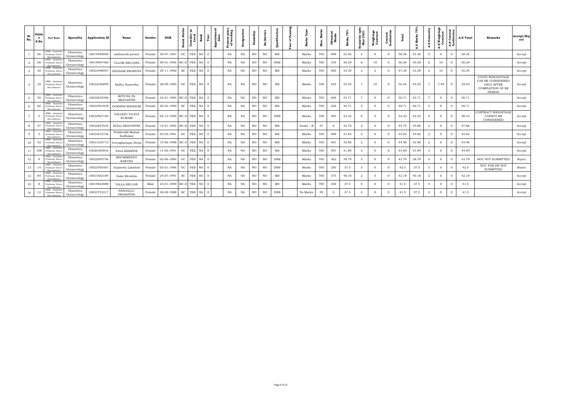| S1.<br>No.     | Onlin<br>e<br>S.No | <b>Post Name</b>                                   | Specality                 | <b>Application ID</b> | Name                                 | Gender | <b>DOB</b>                    | $di$ | Consider<br>Local | Rank<br>∣≽ | int<br>Date<br>ąд | plac<br>king<br>Present<br>of work | ó         | Шty<br>Ä  |     | alifica     |             | ្ពឹ<br>×<br>Max | <b>Obtaine</b><br>Marks |       | eniority upt<br>May 2021 | Weightage<br>Contract | <b>Central</b><br>Institution |       | Б<br>Mark<br>S) | Seni<br>A.S | .S Weightag<br>Contract<br>ä | Central<br>titution | A.S Total | Remarks                                                                                  | Accept/Rej<br>ect |
|----------------|--------------------|----------------------------------------------------|---------------------------|-----------------------|--------------------------------------|--------|-------------------------------|------|-------------------|------------|-------------------|------------------------------------|-----------|-----------|-----|-------------|-------------|-----------------|-------------------------|-------|--------------------------|-----------------------|-------------------------------|-------|-----------------|-------------|------------------------------|---------------------|-----------|------------------------------------------------------------------------------------------|-------------------|
|                | 86                 | DME - Assistan<br>Professor Direct<br>Recruitment  | Obstetrics<br>Gynaecology | 10019489040           | sathineedi pavani                    | Female | 30-07-1987                    | OC   | <b>YES</b>        | $NA$ 0     |                   | NA                                 | NA        | NO.       | NO  | MS          | Marks       | 700             | 498                     | 53.36 |                          | $\Omega$              | $\Omega$                      | 58.36 | 53.36           |             | $\Omega$                     | $\Omega$            | 58.36     |                                                                                          | Accept            |
| 2              | 68                 | DME - Assistant<br>Professor Direc                 | Obstetrics<br>Gynaecology | 10019907460           | <b>ULLOM SRUJANA</b>                 | Female | 09-01-1985 BC-D YES           |      |                   | $NA$ 0     |                   | NA                                 | NA        | <b>NO</b> | NO  | <b>DNB</b>  | Marks       | 700             | 376                     | 40.29 | -6                       | 10                    |                               | 56.29 | 40.29           |             | 10                           | $\Omega$            | 56.29     |                                                                                          | Accept            |
| $\mathbf{3}$   | 30                 | DME - Assistan<br>Professor Direo<br>Recruitment   | Obstetrics<br>Gynaecology | 10023496957           | <b>GEDDAM SWARUPA</b>                | Female | 29-11-1990                    | SC   | <b>YES</b>        | $NA$ 0     |                   | <b>NA</b>                          | <b>NA</b> | NO.       | NO. | MS          | Marks       | 700             | 405                     | 43.39 |                          |                       |                               | 47.39 | 43.39           |             | 10                           | $\Omega$            | 55.39     |                                                                                          | Accept            |
|                | 25                 | ME - Assistant<br>Professor Direct<br>Recruitment  | Obstetrics<br>Gynaecology | 10022246899           | Sadhu Suneetha                       |        | Female 28-09-1985 OC YES NA 0 |      |                   |            |                   | NA                                 | NA        | NO.       | NO  | MS          | Marks       | 700             | 425                     | 45.54 |                          | 10                    | $\Omega$                      | 56.54 | 45.54           |             | 7.49                         | $\overline{0}$      | 54.03     | COVID WEIGHATAGE<br>CAN BE CONSIDERED<br>ONLY AFTER<br><b>COMPLETION OF SR</b><br>PERIOD | Accept            |
| 5 <sup>5</sup> | 50                 | DME - Assistan<br>Professor Direct<br>Recruitment  | Obstetrics<br>Gynaecology | 10022835496           | <b>BOTCHA NL</b><br><b>SRAVANTHI</b> | Female | 24-01-1984 BC-D YES           |      |                   | $NA$ 0     |                   | NA                                 | NA        | NO.       | NO. | MS          | Marks       | 700             | 408                     | 43.71 | $7^{\circ}$              | $\overline{0}$        | $\Omega$                      | 50.71 | 43.71           | 7           | $\Omega$                     | $\overline{0}$      | 50.71     |                                                                                          | Accept            |
| 6              | 60                 | DME - Assistant<br>Professor Direct<br>Recruitmen  | Obstetrics<br>Gynaecology | 10022591839           | <b>GOKAPAI MADHURI</b>               | Female | 20-02-1990                    |      | SC YES            | NA 0       |                   | NA                                 | NA        | NO        | NO  | $_{\rm MS}$ | Marks       | 700             | 436                     | 46.71 |                          | $\Omega$              |                               | 48.71 | 46.71           |             |                              | $\Omega$            | 48.71     |                                                                                          | Accept            |
|                |                    | DME - Assistant<br>Professor Direct<br>Recruitment | Obstetrics<br>Gynaecology | 10022967182           | VALLEPU VIJAYA<br>KUMARI             |        | Female 04-12-1984 BC-D YES    |      |                   | $NA$ 0     |                   | NA                                 | NA        | NO.       | NO. | <b>DNB</b>  | Marks       | 700             | 395                     | 42.32 | -6                       | - 5                   | $\Omega$                      | 53.32 | 42.32           | -6          | $\Omega$                     | $\Omega$            | 48.32     | CONTRACT WEIGHTAGE<br>CANNOT BE<br>CONSIDERED                                            | Accept            |
| 8              | 47                 | DME - Assistant<br>Professor Direc<br>Recruitment  | Obstetrics<br>Gynaecology | 10022847035           | KOLLI SRAVANTHI                      | Female | 14-01-1992 BC-D YES           |      |                   | $NA$ 0     |                   | NA                                 | <b>NA</b> | NO.       | NO  | MS          | $Grade - B$ | 57              | $\Omega$                | 42.75 | -2                       | $\Omega$              | $\Omega$                      | 44.75 | 45.86           | -2          | $\Omega$                     | $\Omega$            | 47.86     |                                                                                          | Accept            |
| $\mathbf{Q}$   |                    | DME - Assistant<br>Professor Direct<br>Recruitmen  | Obstetrics<br>Gynaecology | 10023815736           | Peddireddi Mahati<br>Sudhakar        | Female | 02-05-1991                    |      | OC YES            | $NA$ 0     |                   | NA                                 | NA        | NO.       | NO. | MS          | Marks       | 700             | 409                     | 43.82 | 2                        | $\Omega$              | $\Omega$                      | 45.82 | 43.82           | 2           | $\Omega$                     | $\Omega$            | 45.82     |                                                                                          | Accept            |
| 10             | 42                 | DME - Assistan<br>Professor Direct<br>Recruitmen   | Obstetrics<br>Gynaecology | 10021235715           | Veeraghattapu Divija                 | Female | 15-06-1988 BC-A YES           |      |                   | $NA$ 0     |                   | NA                                 | NA        | NO        | NO  | $_{\rm MS}$ | Marks       | 700             | 401                     | 42.96 |                          | $\Omega$              |                               | 44.96 | 42.96           |             |                              | $\Omega$            | 44.96     |                                                                                          | Accept            |
| 11             | 108                | DME - Assistan<br>Professor Direc<br>Recruitment   | Obstetrics<br>Gynaecology | 10020384842           | PALA KEERTHI                         | Female | 14-06-1991                    | OC   | <b>YES</b>        | $NA$ 0     |                   | NA                                 | NA        | NO.       | NO  | <b>MS</b>   | Marks       | 700             | 391                     | 41.89 |                          | $\Omega$              |                               | 44.89 | 41.89           |             |                              | $\Omega$            | 44.89     |                                                                                          | Accept            |
| 12             | q                  | DME - Assistant<br>Professor Direct<br>Recruitment | Obstetrics<br>Gynaecology | 10022695756           | <b>BHUMIREDDY</b><br>KARUNA          | Female | 02-06-1984                    | OC   | <b>YES</b>        | $NA$ 0     |                   | NA                                 | NA        | NO        | NO  | <b>DNB</b>  | Marks       | 700             | 362                     | 38.79 | -5                       | $\Omega$              | $\Omega$                      | 43.79 | 38.79           | -5          | $\Omega$                     | $\Omega$            | 43.79     | NOC NOT SUBMITTED                                                                        | Reject            |
| 13             | -14                | DME - Assistant<br>Professor Direc<br>Recruitme    | Obstetrics<br>Gynaecology | 10023592467           | Gopisetty Lakshmi                    | Female | 03-01-1986                    | OC   | <b>YES</b>        | $NA$ 0     |                   | NA                                 | NA        | NO.       | NO. | <b>DNB</b>  | Marks       | 700             | 350                     | 37.5  |                          | $\Omega$              | $\Omega$                      | 42.5  | 37.5            |             |                              | $\Omega$            | 42.5      | NOC FOR DR NOT<br><b>SUBMITTED</b>                                                       | Reject            |
| 14             | 84                 | DME - Assistar<br>Professor Dire<br>Recruitmen     | Obstetrics<br>Gynaecology | 10021662184           | Dake Mrudula                         | Female | 24-07-1991                    | SC   | <b>YES</b>        | $NA$ 0     |                   | NA                                 | NA        | NO.       | NO. | MS          | Marks       | 700             | 375                     | 40.18 | -2                       | $\Omega$              | $\Omega$                      | 42.18 | 40.18           |             |                              | $\Omega$            | 42.18     |                                                                                          | Accept            |
| 15             | -8                 | DME - Assistant<br>Professor Direct<br>Recruitme   | Obstetrics<br>Gynaecology | 10019463088           | YALLA SRUJAN                         | Male   | 24-01-1989 BC-D YES           |      |                   | $NA$ 0     |                   | NA                                 | NA        | NO        | NO  | MS          | Marks       | 700             | 350                     | 37.5  |                          | $\Omega$              | $\Omega$                      | 41.5  | 37.5            |             | $\Omega$                     | $\Omega$            | 41.5      |                                                                                          | Accept            |
| 16             | 12                 | DME - Assistan<br>Professor Direct<br>Recruitment  | Obstetrics<br>Gynaecology | 10023753217           | ANAGALLU<br>PRASANTHI                | Female | 30-08-1988                    | SC   | <b>YES</b>        | $NA$ 0     |                   | NA                                 | NA        | NO.       | NO  | <b>DNB</b>  | No Marks    | 50              | $\Omega$                | 37.5  |                          |                       |                               | 41.5  | 37.5            |             |                              | - 0                 | 41.5      |                                                                                          | Accept            |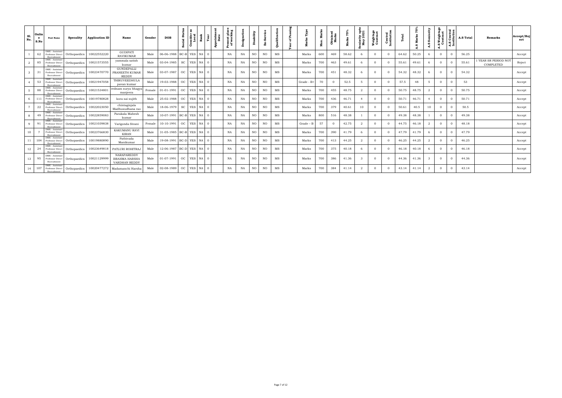| S1.<br>No.      | Onlin<br>e.<br>S.No | <b>Post Name</b>                                   | Specality                     | <b>Application ID</b> | Name                                                 | Gender | <b>DOB</b>                     | ö.<br>ਰ   | æ<br>Consider<br>Local | Rank<br>Year   | ង ក្ន<br>£ | មិ ដ<br>ដ<br>9.5<br>ឌី ៦ | ್ಷ<br>$\Delta$ | ability<br>Ã |           | ల           |             | ま<br>Мах. | btain<br>Mark |       | ity up<br>2021<br>nior<br>May | Weighta <sub>i</sub><br>Contrac |          |       | N<br>톱 | စိ<br>A.S | .S Weightag<br>Contract | Central<br>titution<br>49 | <b>A.S Total</b> | <b>Remarks</b>                    | Accept/Rej<br>ect |
|-----------------|---------------------|----------------------------------------------------|-------------------------------|-----------------------|------------------------------------------------------|--------|--------------------------------|-----------|------------------------|----------------|------------|--------------------------|----------------|--------------|-----------|-------------|-------------|-----------|---------------|-------|-------------------------------|---------------------------------|----------|-------|--------|-----------|-------------------------|---------------------------|------------------|-----------------------------------|-------------------|
|                 | 62                  | DME - Assistant<br>Professor Direct<br>Recruitment | Orthopaedics                  | 10022552220           | <b>GUDIPATI</b><br><b>RAVIKUMAR</b>                  | Male   | 06-06-1988 BC-B YES NA         |           |                        | $\Omega$       |            | NA                       | NA             | NO.          | <b>NO</b> | MS          | Marks       | 600       | 469           | 58.62 |                               |                                 |          | 64.62 | 50.25  |           | $\Omega$                |                           | 56.25            |                                   | Accept            |
|                 | 85                  | DME - Assistant<br>Professor Direct<br>Recruitment | Orthopaedics                  | 10021573555           | yammala satish<br>kumar                              | Male   | $03 - 04 - 1985$               | SC        | YES NA                 | $\Omega$       |            | NA                       | NA             | NO           | NO        | MS          | Marks       | 700       | 463           | 49.61 |                               |                                 |          | 55.61 | 49.61  |           | $\Omega$                |                           | 55.61            | 1 YEAR SR PERIOD NOT<br>COMPLETED | Reject            |
|                 | 31                  | DME - Assistant<br>Professor Direct<br>Recruitment | Orthopaedics                  | 10023470770           | <b>GUNDEPALLI</b><br>PRANEETH KUMAR<br><b>REDDY</b>  | Male   | $03-07-1987$ OC                |           | YES NA 0               |                |            | NA                       | NA             | NO           | NO.       | MS          | Marks       | 700       | 451           | 48.32 |                               |                                 |          | 54.32 | 48.32  |           | $\Omega$                |                           | 54.32            |                                   | Accept            |
|                 | 53                  | DME - Assistant<br>Professor Direct<br>Recruitment | Orthopaedics                  | 10021947058           | THIRUVEEDHULA<br>pavan kumar                         | Male   | 19-03-1988 OC                  |           | YES NA                 | $\Omega$       |            | NA                       | NA             | NO.          | NO.       | MS          | Grade - B+  | 70        | $\Omega$      | 52.5  |                               | $\Omega$                        |          | 57.5  | 48     |           | $\Omega$                | $\Omega$                  | 53               |                                   | Accept            |
|                 | 88                  | DME - Assistant<br>Professor Direct<br>Recruitment | Orthopaedics                  | 10021534801           | rednam surya bhagya<br>manjeera                      | Female | $01-01-1991$ OC                |           | YES NA                 | $\overline{0}$ |            | NA                       | NA             | NO           | NO.       | MS          | Marks       | 700       | 455           | 48.75 |                               |                                 |          | 50.75 | 48.75  | -2        | $\Omega$                |                           | 50.75            |                                   | Accept            |
|                 | 111                 | DME - Assistant<br>Pecnitment                      | Professor Direct Orthopaedics | 10019780828           | kora sai sujith                                      | Male   | 25-02-1988                     | OC        | YES NA                 |                |            | NA                       | NA             | NO           | NO        | $_{\rm MS}$ | Marks       | 700       | 436           | 46.71 |                               |                                 |          | 50.71 | 46.71  |           | $\Omega$                |                           | 50.71            |                                   | Accept            |
|                 | 22                  | DME - Assistant<br>Pecruitmen                      | Professor Direct Orthopaedics | 10022023050           | chintaginjala<br>Madhusudhana rao                    | Male   | 18-06-1979                     | <b>SC</b> | YES NA                 | $\Omega$       |            | NA                       | NA             | <b>NO</b>    | NO.       | MS          | Marks       | 700       | 379           | 40.61 | 10                            |                                 |          | 50.61 | 40.5   | 10        | $\Omega$                |                           | 50.5             |                                   | Accept            |
|                 | 49                  | DME - Assistant                                    | Professor Direct Orthopaedics | 10022859083           | Parakala Mahesh<br>kumar                             | Male   | 10-07-1991 BC-B YES NA         |           |                        | $\overline{0}$ |            | NA                       | NA             | NO.          | NO.       | MS          | Marks       | 800       | 516           | 48.38 |                               | $\Omega$                        |          | 49.38 | 48.38  |           | $\Omega$                |                           | 49.38            |                                   | Accept            |
|                 | 91                  | DME - Assistant<br>Recruitmen                      | Professor Direct Orthopaedics | 10021039838           | Varigonda Sivani                                     | Female | 10-10-1991   OC   YES   NA   0 |           |                        |                |            | NA                       | NA             | NO.          | NO        | MS          | $Grade - B$ | 57        | $\Omega$      | 42.75 | 2                             | $\Omega$                        | $\Omega$ | 44.75 | 46.18  | 2         | $\Omega$                | $\Omega$                  | 48.18            |                                   | Accept            |
| 10              |                     | DME - Assistant<br>Professor Direct<br>Recruitment | Orthopaedics                  | 10023766830           | KAKUMANU RAVI<br>KIRAN                               | Male   | 31-05-1985 BC-B YES NA         |           |                        | $\Omega$       |            | NA                       | NA             | NO.          | <b>NO</b> | MS          | Marks       | 700       | 390           | 41.79 |                               |                                 |          | 47.79 | 41.79  |           | $\overline{O}$          | $\Omega$                  | 47.79            |                                   | Accept            |
| 11              | 104                 | DME - Assistant<br>Professor Direct<br>Recruitment | Orthopaedics                  | 10019880890           | Pathivada<br>Manikumar                               | Male   | 19-08-1991 BC-D YES NA 0       |           |                        |                |            | NA                       | NA             | NO           | NO        | MS          | Marks       | 700       | 413           | 44.25 | $\mathcal{D}$                 |                                 |          | 46.25 | 44.25  | -2        | $\overline{0}$          | $\Omega$                  | 46.25            |                                   | Accept            |
| 12              | 24                  | DME - Assistant<br>Professor Direct<br>Recruitment | Orthopaedics                  | 10023649818           | PATLURI ROHITRAJ                                     | Male   | 12-06-1987 BC-D YES NA 0       |           |                        |                |            | NA                       | NA             | NO           | NO        | MS          | Marks       | 700       | 375           | 40.18 |                               |                                 |          | 46.18 | 40.18  |           | $\Omega$                |                           | 46.18            |                                   | Accept            |
| 13 <sup>1</sup> | 95                  | DME - Assistant<br>Recruitment                     | Professor Direct Orthopaedics | 10021129999           | NARAPAREDDY<br><b>BRAHMA HARSHA</b><br>VARDHAN REDDY | Male   | $01-07-1991$ OC                |           | YES NA 0               |                |            | NA                       | NA             | NO           | NO.       | MS          | Marks       | 700       | 386           | 41.36 |                               |                                 |          | 44.36 | 41.36  |           | $\Omega$                |                           | 44.36            |                                   | Accept            |
| 14              | 107                 | DME - Assistant<br>Professor Direct<br>Recruitment | Orthopaedics                  |                       | 10020477272 Madamanchi Harsha                        | Male   | $02-08-1989$ OC                |           | YES NA                 | $\overline{0}$ |            | NA                       | NA             | NO.          | NO.       | MS          | Marks       | 700       | 384           | 41.14 | 2                             | $\Omega$                        |          | 43.14 | 41.14  | -2        | $\overline{0}$          | $\Omega$                  | 43.14            |                                   | Accept            |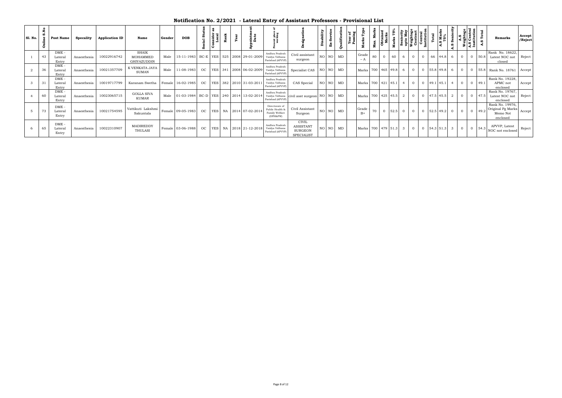| <b>Sl. No.</b> | ΡŞ.<br>ω<br>Ő | Post Name                 | Specality   | <b>Application ID</b> | Name                              | Gender | <b>DOB</b>                                        |    | ಕ          | ۶ë |                          |                                                                 |                                                                         | ⋗<br>ã | Ø. |          |                                    |    | Mar  |                | Senion<br>upto la<br>Weight<br>Contr |                |                                   | $\sqrt{a}$                        |                | A.S<br>ight<br>B. | . .<br>Cer<br>titu<br>ãÅ |               | <b>Remarks</b>                                               | Accept<br>/Reject |
|----------------|---------------|---------------------------|-------------|-----------------------|-----------------------------------|--------|---------------------------------------------------|----|------------|----|--------------------------|-----------------------------------------------------------------|-------------------------------------------------------------------------|--------|----|----------|------------------------------------|----|------|----------------|--------------------------------------|----------------|-----------------------------------|-----------------------------------|----------------|-------------------|--------------------------|---------------|--------------------------------------------------------------|-------------------|
|                | 43            | DME-<br>Lateral<br>Entry  | Anaesthesia | 10022916742           | SHAIK<br>MOHAMMED<br>GHIYAZUDDIN  | Male   | 15-11-1983 BC-E YES 525 2008 29-01-2009           |    |            |    |                          | Andhra Pradesh<br>Vaidya Vidhana<br>Parishad (APVVI             | Civil assistant<br>surgeon                                              |        |    | NO NO MD | Grade<br>$-A$                      | 80 | 60   |                | $\Omega$                             | $\Omega$       |                                   | 66 44.8                           | 6              | $\overline{0}$    |                          | $0\quad 50.8$ | Rank No. 18622,<br>Latest NOC not<br>closed                  | Reject            |
|                | 36            | DME-<br>Lateral<br>Entry  | Anaesthesia | 10021357709           | K VENKATA JAYA<br><b>SUMAN</b>    | Male   | 11-08-1983                                        | OC |            |    | YES 341 2008 06-02-2009  | Andhra Pradesh<br>Vaidya Vidhana<br>Parishad (APVVF             | Specialist CAS   NO   NO   MD                                           |        |    |          | Marks 700 465 49.8 6               |    |      |                |                                      |                |                                   | $0 \quad 0 \quad 55.8 \quad 49.8$ | 6              | $\overline{0}$    |                          |               | 0   55.8   Rank No. 18761   Accept                           |                   |
|                | 31            | DME-<br>Lateral<br>Entry  | Anaesthesia | 10019717799           | Karanam Swetha                    |        | Female 16-02-1985                                 | OC |            |    | YES 382 2010 31-03-2011  | Andhra Pradesh<br>Vaidya Vidhana<br>Parishad (APVVP)            | CAS Special                                                             |        |    | NO NO MD | Marks 700 421 45.1 4               |    |      |                | $\overline{0}$                       | $\overline{0}$ | 49.1 45.1                         |                                   | $\overline{4}$ | $\overline{0}$    |                          | $0 \mid 49.1$ | Rank No. 19228,<br>APMC not<br>enclosed                      | Accept            |
|                | 60            | DME -<br>Lateral<br>Entry | Anaesthesia | 10023065715           | <b>GOLLA SIVA</b><br><b>KUMAR</b> | Male   | 01-03-1984   BC-D   YES   240   2014   13-02-2014 |    |            |    |                          | Andhra Pradesh<br>Vaidya Vidhana<br>Parishad (APVVF             | civil asst surgeon NO NO MD                                             |        |    |          | Marks 700 425 45.5                 |    |      | 2              | $\Omega$                             | $\overline{0}$ | 47.5 45.5                         |                                   | $\mathcal{D}$  | $\overline{0}$    |                          | $0 \mid 47.5$ | Rank No. 19767,<br>Latest NOC not<br>enclosed                | Reject            |
|                | 73            | DME-<br>Lateral<br>Entry  | Anaesthesia | 10021754595           | Vattikuti Lakshmi<br>Sakuntala    |        | Female 09-05-1983 OC                              |    | <b>YES</b> |    | NA 2014 07-02-2014       | Directorate of<br>Public Health &<br>Family Welfare<br>(DPH&FW) | Civil Assistant<br>Surgeon                                              |        |    | NO NO MD | Grade<br>$B+$                      | 70 | 52.5 | $\overline{0}$ |                                      |                | $0 \quad 0 \quad 52.5 \quad 49.2$ |                                   |                | $\overline{0}$    |                          | 49.2          | Rank No. 19976,<br>Original Pg Marks<br>Memo Not<br>enclosed | Accept            |
|                | 65            | DME-<br>Lateral<br>Entry  | Anaesthesia | 10022310907           | MADIREDDY<br>THULASI              |        | Female 03-06-1988                                 | OC |            |    | YES   NA 2018 21-12-2018 | Andhra Pradesh<br>Vaidya Vidhana<br>Parishad (APVVP)            | <b>CIVIL</b><br><b>ASSISTANT</b><br><b>SURGEON</b><br><b>SPECIALIST</b> |        |    | NO NO MD | Marks 700 479 51.3 3 0 0 54.3 51.3 |    |      |                |                                      |                |                                   |                                   | $\mathcal{E}$  | $\overline{0}$    |                          | $0 \mid 54.3$ | APVVP, Latest<br>NOC not enclosed                            | Reject            |

## **Notification No. 2/2021 - Lateral Entry of Assistant Professors - Provisional List**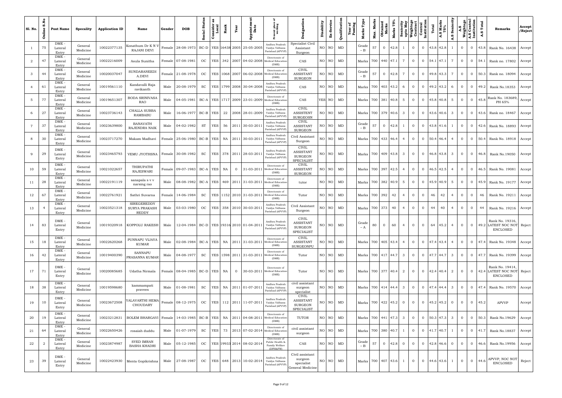| <b>S1. No.</b> | Ρ.<br>Ø.<br>Online | Post Name                      | Specality           | <b>Application ID</b> | Name                                                         | Gender | <b>DOB</b>                                                 | Statu<br>cial<br>တိ | nsider<br>Local<br>පි | Rank |                | Appointm<br>Date                       |                                                                 |                                                                         | Disability | -Service  | Qualification | Year<br>Passi | Ĕ<br><b>Marks</b> | Mark<br><b>Obtained</b><br>Marks<br>Max. | 75%<br>Marks |                 | Seniority<br>upto May<br>weightage<br>Contrad<br>Central<br>Linstitution |                | Total                          | <b>A.S Man</b><br>75% | Seniority<br>S<br>નં | Weighta        | A.S Central<br>Institu <u>tion</u> | Total<br>w     | Remarks                                                            | Accept<br>/Reject |
|----------------|--------------------|--------------------------------|---------------------|-----------------------|--------------------------------------------------------------|--------|------------------------------------------------------------|---------------------|-----------------------|------|----------------|----------------------------------------|-----------------------------------------------------------------|-------------------------------------------------------------------------|------------|-----------|---------------|---------------|-------------------|------------------------------------------|--------------|-----------------|--------------------------------------------------------------------------|----------------|--------------------------------|-----------------------|----------------------|----------------|------------------------------------|----------------|--------------------------------------------------------------------|-------------------|
|                | 75                 | $DME -$<br>Lateral<br>Entry    | General<br>Medicine | 10022377135           | Konathum Dr K N V<br><b>RAJANI DEVI</b>                      |        | Female   28-08-1973   BC-D   YES   16438 2005   25-05-2005 |                     |                       |      |                |                                        | Andhra Pradesł<br>Vaidya Vidhana<br>Parishad (APVVP)            | Specialist Civil<br>Assistant<br>Surgeon                                |            | NO NO     | MD            |               | Grade             | 57<br>$\mathbf{0}$                       | 42.8         |                 | $\mathbf{0}$                                                             | $\overline{0}$ |                                | 43.8 42.8             | -1                   | $\overline{0}$ | $\overline{0}$                     | 43.8           | Rank No. 16438                                                     | Accept            |
| 2              | 47                 | DME.<br>Lateral<br>Entry       | General<br>Medicine | 10022216009           | Asula Sunitha                                                |        | Female 07-08-1981                                          | OC                  | YES                   |      |                | 342 2007 04-02-2008                    | Directorate of<br>Medical Education<br>(DME)                    | CAS                                                                     |            | NO NO     | MD            |               |                   | Marks   700   440   47.1                 |              | $7\phantom{.0}$ | $\mathbf{0}$                                                             | $\overline{0}$ |                                | $54.1$ 47.1           | 7                    | $\overline{0}$ | $\overline{0}$                     | 54.1           | Rank no. 17802                                                     | Accept            |
| 3              | 44                 | DME<br>Lateral<br>Entry        | General<br>Medicine | 10020037047           | <b>SUNDARANEEDI</b><br>A.DEVI                                |        | Female 21-08-1978                                          | $_{\rm OC}$         |                       |      |                | YES   1068   2007   06-02-2008         | Directorate of<br>Medical Educatio<br>(DME)                     | <b>CIVIL</b><br>ASSISTANT<br><b>SURGEON</b>                             |            | NO NO     | MD            |               | Grade<br>$- B$    | 57<br>$\overline{0}$                     | 42.8         | $7\overline{ }$ | $\overline{0}$                                                           | $\overline{0}$ |                                | 49.8 43.3             | $7\overline{ }$      | $\overline{0}$ | $\overline{0}$                     | 50.3           | Rank no. 18094                                                     | Accept            |
|                | 61                 | DME<br>Lateral<br>Entry        | General<br>Medicine | 10019561110           | Kandavalli Raja<br>ravikanth                                 | Male   | 20-08-1979                                                 | SC                  |                       |      |                | YES   1799   2008   30-04-2008         | Andhra Pradesh<br>Vaidya Vidhana<br>Parishad (APVVP)            | CAS                                                                     |            | NO NO     | MD            |               |                   | Marks 700 403 43.2                       |              | 6               | $\mathbf{0}$                                                             | $\overline{0}$ |                                | 49.2 43.2             | 6                    | $\overline{0}$ | $\overline{0}$                     | 49.2           | Rank No.18353                                                      | Accept            |
| 5              | 77                 | DME<br>Lateral<br>Entry        | General<br>Medicine | 10019651307           | <b>BODA SRINIVASA</b><br><b>RAO</b>                          | Male   | 04-05-1981                                                 |                     |                       |      |                | BC-A   YES   1717   2009   23-01-2009  | Directorate of<br>Medical Education<br>(DME)                    | CAS                                                                     |            | YES NO    | MD            |               |                   | Marks 700 381 40.8                       |              | 5               | $\overline{0}$                                                           | $\overline{0}$ |                                | 45.8 40.8             | 5                    | $\overline{0}$ | $\overline{0}$                     | 45.8           | Rank No. 183689<br>PH 65%                                          | Accept            |
| 6              | 27                 | DME -<br>Lateral<br>Entry      | General<br>Medicine | 10023736143           | CHALLA SUBBA<br><b>RAMBABU</b>                               | Male   | 16-06-1977 BC-B                                            |                     | <b>YES</b>            | 22   |                | 2008 28-01-2009                        | Andhra Pradesh<br>Vaidya Vidhana<br>Parishad (APVVP)            | <b>CIVIL</b><br><b>ASSISTENT</b><br><b>SURGEOSN</b>                     |            | NO NO     | MD            |               |                   | Marks   700   379   40.6                 |              | $\mathbf{3}$    | $\mathbf{0}$                                                             | $\mathbf{O}$   |                                | 43.6 40.6             | 3                    | $\overline{0}$ | $\overline{0}$                     | 43.6           | Rank no. 18467                                                     | Accept            |
| 7              | 37                 | DME.<br>Lateral<br>Entry       | General<br>Medicine | 10023639800           | <b>BANAVATH</b><br>RAJENDRA NAIK                             | Male   | 04-02-1982                                                 | ST                  | <b>YES</b>            | 56   |                | 2011 30-03-201                         | Andhra Pradesh<br>Vaidya Vidhana<br>Parishad (APVVP)            | <b>CIVIL</b><br><b>ASSISTANT</b><br><b>SURGEON</b>                      |            | NO NO     | MD            |               | Grade<br>$-B$     | 57<br>$\overline{0}$                     | 42.8         |                 | $\mathbf{0}$                                                             | $\overline{0}$ |                                | 43.8 41.6             |                      | $\overline{0}$ | $\overline{0}$                     | 42.6           | Rank No. 18893                                                     | Accept            |
| 8              | 30                 | DME.<br>Lateral<br>Entry       | General<br>Medicine | 10023717270           | Makam Madhavi                                                |        | Female   25-06-1980   BC-B   YES                           |                     |                       |      |                | NA 2011 30-03-201                      | Andhra Pradesh<br>Vaidya Vidhana<br>Parishad (APVVP)            | Civil Assistant<br>Surgeon                                              |            | $NO$ $NO$ | MD            |               |                   | Marks   700   433   46.4                 |              | $\overline{4}$  | $\overline{0}$                                                           | $\overline{0}$ |                                | 50.4 46.4             | $\overline{4}$       | $\overline{0}$ |                                    | $0 \quad 50.4$ | Rank No. 18918 Accept                                              |                   |
| 9              | 29                 | DME<br>Lateral<br>Entry        | General<br>Medicine | 10023465793           | VEMU JYOTHSNA                                                |        | Female 30-08-1982                                          | SC.                 | <b>YES</b>            |      |                | 378 2011 28-03-2011                    | Andhra Pradesh<br>Vaidya Vidhana<br>Parishad (APVVP)            | <b>CIVIL</b><br><b>ASSISTANT</b><br><b>SURGEON</b><br><b>SPECIALIST</b> |            | NO NO     | MD            |               |                   | Marks 700 409 43.8                       |              | $\mathbf{3}$    | $\overline{0}$                                                           | $\overline{0}$ |                                | 46.8 43.8             | 3                    | $\overline{0}$ | $\overline{0}$                     | 46.8           | Rank No.19050                                                      | Accept            |
| 10             | 59                 | DME<br>Lateral<br>Entry        | General<br>Medicine | 10021022657           | THIRUPATHI<br><b>RAJESWARI</b>                               |        | Female   09-07-1983   BC-A   YES                           |                     |                       | NA   | $\overline{0}$ | 31-03-2011                             | Directorate of<br>Medical Education<br>(DME)                    | <b>CIVIL</b><br><b>ASSISTANT</b><br><b>SURGEON</b>                      |            | NO NO     | MD            |               |                   | Marks 700 397 42.5                       |              | $\overline{4}$  | $\mathbf{0}$                                                             | $\overline{0}$ |                                | $46.5$ 42.5           | $\overline{4}$       | $\overline{0}$ | $\overline{0}$                     | 46.5           | Rank No. 19081                                                     | Accept            |
| 11             | 28                 | DME<br>Lateral<br>Entry        | General<br>Medicine | 10022191119           | sanapala s v v<br>narsing rao                                | Male   | 08-08-1982   BC-A   YES   469   2011   31-03-2011          |                     |                       |      |                |                                        | Directorate of<br>Medical Education<br>(DME)                    | tutor                                                                   |            | NO NO     | MD            |               |                   | Marks 700 382 40.9                       |              | 5               | $\overline{0}$                                                           | $\overline{0}$ |                                | 45.9 40.9             | 5                    | $\overline{0}$ | $\overline{0}$                     | 45.9           | Rank No. 19177   Accept                                            |                   |
| 12             | 67                 | DME.<br>Lateral<br>Entry       | General<br>Medicine | 10022761921           | Sathri Suvarna                                               | Female | 14-06-1984                                                 | <b>SC</b>           |                       |      |                | YES   1152   2010   31-03-2011         | Directorate of<br>Medical Education<br>(DME)                    | Tutor                                                                   |            | NO NO     | MD            |               |                   | Marks 700 392                            | 42           | $\overline{4}$  | $\mathbf{0}$                                                             | $\overline{0}$ | 46                             | 42                    | $\overline{4}$       | $\overline{0}$ | $\overline{0}$                     | 46             | Rank No. 19211   Accept                                            |                   |
| 13             | $\overline{4}$     | DME.<br>Lateral<br>Entry       | General<br>Medicine | 10023521318           | SIREGEREDDY<br><b>SURYA PRAKASH</b><br><b>REDDY</b>          | Male   | 03-03-1980                                                 | OC                  | YES                   |      |                | 358 2010 30-03-201                     | Andhra Pradesh<br>Vaidya Vidhana<br>Parishad (APVVP)            | Civil Assistant<br>Surgeon                                              |            | NO NO     | MD            |               |                   | Marks 700 373                            | 40           | $\overline{4}$  | $\mathbf{0}$                                                             | $\overline{0}$ | 44                             | 40                    | $\overline{4}$       | $\overline{0}$ | $\overline{0}$                     | 44             | Rank No. 19216 Accept                                              |                   |
| 14             | 83                 | $DME -$<br>Lateral<br>Entry    | General<br>Medicine |                       | 10019320918   KOPPOLU RAKESH                                 | Male   | 12-04-1984   BC-D   YES   19316 2010   01-04-2011          |                     |                       |      |                |                                        | Andhra Pradesh<br>Vaidya Vidhana<br>Parishad (APVVP)            | <b>CIVIL</b><br><b>ASSISTANT</b><br>SURGEON<br><b>SPECIALIST</b>        |            | NO NO     | MD            |               | Grade<br>– A      | 80<br>$\overline{0}$                     | 60           | 4               | $\overline{0}$                                                           | $\overline{0}$ |                                | 64 45.2               | $\overline{4}$       | $\overline{0}$ |                                    |                | Rank No. 19316,<br>0 49.2 LATEST NOC NOT Reject<br><b>ENCLOSED</b> |                   |
| 15             | 18                 | DME.<br>Lateral<br>Entry       | General<br>Medicine | 10022620268           | PUNNAPU VIJAYA<br>KUMAR                                      | Male   |                                                            |                     |                       |      |                | 02-08-1984 BC-A YES NA 2011 31-03-2011 | Directorate of<br>Medical Education<br>(DME)                    | CIVIL<br>ASSISTANT<br>SURGEONPU                                         |            | NO NO     | MD            |               |                   | Marks 700 405 43.4                       |              | $\overline{4}$  | $\overline{0}$                                                           | $\overline{0}$ |                                | 47.4 43.4             | $\overline{4}$       | $\overline{0}$ | $\overline{0}$                     | 47.4           | Rank No. 19348   Accept                                            |                   |
| 16             | 42                 | DME -<br>Lateral<br>Entry      | General<br>Medicine | 10019400390           | SANNAPU<br>PRASANNA KUMAR                                    | Male   | 04-08-1977                                                 | SC                  |                       |      |                | YES   1598   2011   31-03-2011         | Directorate of<br>Medical Education<br>(DME)                    | Tutor                                                                   |            | NO NO     | MD            |               |                   | Marks 700 417 44.7                       |              | $\mathbf{3}$    | $\overline{0}$                                                           |                | $0$ 47.7 44.7 3                |                       |                      | $\overline{0}$ | $\overline{0}$                     | 47.7           | Rank No. 19399   Accept                                            |                   |
| 17             | 71                 | DME -<br>Lateral<br>Entry      | General<br>Medicine | 10020085685           | Udatha Nirmala                                               |        | Female 08-04-1985 BC-D YES NA                              |                     |                       |      |                |                                        | Directorate of<br>0 30-03-2011 Medical Education<br>(DME)       | Tutor                                                                   |            |           | NO NO MD      |               |                   | Marks 700 377 40.4                       |              | 2               | $\overline{0}$                                                           |                | $0 \mid 42.4 \mid 40.4 \mid 2$ |                       |                      | $\overline{0}$ | $\overline{0}$                     |                | Rank No. 19414,<br>42.4 LATEST NOC NOT Reject<br><b>ENCLOSED</b>   |                   |
| 18             | 38                 | $DME -$<br>Lateral<br>Entry    | General<br>Medicine | 10019598680           | kammampati<br>praveen                                        | Male   | 01-08-1981                                                 | SC                  | <b>YES</b>            |      |                | NA 2011 01-07-2011                     | Andhra Pradesh<br>Vaidya Vidhana<br>Parishad (APVVP)            | civil assistant<br>surgeon<br>specialist                                |            | NO NO     | MD            |               |                   | Marks 700 414 44.4                       |              | $\mathbf{3}$    | $\overline{0}$                                                           | $\overline{0}$ |                                | 47.4 44.4             | $\mathbf{3}$         | $\overline{0}$ | $\mathbf{0}$                       | 47.4           | Rank No. 19570 Accept                                              |                   |
| 19             | 10                 | $DME -$<br>Lateral<br>Entry    | General<br>Medicine | 10023672508           | YALAVARTHI HEMA<br>CHOUDARY                                  |        | Female 08-12-1975                                          | OC                  |                       |      |                | YES 112 2011 11-07-2013                | Andhra Pradesh<br>Vaidya Vidhana<br>Parishad (APVVP)            | CIVIL<br>ASSISTANT<br>SURGEON<br><b>SPECIALIST</b>                      |            | NO NO     | MD            |               |                   | Marks 700 422 45.2                       |              | $\overline{0}$  | $\overline{0}$                                                           |                | $0$ 45.2 45.2                  |                       | $\overline{0}$       | $\overline{0}$ | $\overline{0}$                     | 45.2           | <b>APVVP</b>                                                       | Accept            |
| 20             | 19                 | DME.<br>Lateral<br>Entry       | General<br>Medicine | 10023212831           | BOLEM BHARGAVI Female 14-03-1985 BC-B YES NA 2011 04-08-2011 |        |                                                            |                     |                       |      |                |                                        | Directorate of<br>Medical Education<br>(DME)                    | TUTOR                                                                   |            | $NO$ $NO$ | MD            |               |                   | Marks 700 441 47.3                       |              | $\mathbf{3}$    | $\overline{0}$                                                           |                | $0 \mid 50.3 \mid 47.3 \mid 3$ |                       |                      | $\overline{0}$ | $\overline{0}$                     | 50.3           | Rank No.19629                                                      | Accept            |
| 21             | 64                 | <b>DME</b><br>Lateral<br>Entry | General<br>Medicine | 10022650426           | rosaiah duddu                                                | Male   | 01-07-1979                                                 | <b>SC</b>           | <b>YES</b>            | 73   |                | 2013 07-02-2014                        | Directorate of<br>Medical Education<br>(DME)                    | civil assistant<br>surgeon                                              |            | NO NO I   | MD            |               |                   | Marks 700 380 40.7                       |              |                 | $\overline{0}$                                                           |                | $0$ 41.7 40.7                  |                       | $\overline{1}$       | $\overline{0}$ | $\mathbf{0}$                       | 41.7           | Rank No.18837                                                      | Accept            |
| 22             | $\overline{a}$     | DME -<br>Lateral<br>Entry      | General<br>Medicine | 10023874987           | <b>SYED IMRAN</b><br><b>BASHA KHADRI</b>                     | Male   | 05-12-1985                                                 | OC                  |                       |      |                | YES 19933 2014 08-02-2014              | Directorate of<br>Public Health &<br>Family Welfare<br>(DPH&FW) | CAS                                                                     |            | NO NO     | MD            |               | Grade<br>$- B$    | 57<br>$\overline{0}$                     | 42.8         | $\overline{0}$  | $\overline{0}$                                                           | $\overline{0}$ |                                | $42.8$ 46.6           | $\overline{0}$       | $\overline{0}$ | $\overline{0}$                     | 46.6           | Rank No.19956                                                      | Accept            |
| 23             | 39                 | DME-<br>Lateral<br>Entry       | General<br>Medicine |                       | 10022423930 Menta Gopikrishna                                | Male   | 27-08-1987                                                 | OC                  |                       |      |                | YES 648 2013 10-02-2014                | Andhra Pradesh<br>Vaidya Vidhana<br>Parishad (APVVP)            | Civil assistant<br>surgeon<br>specialist<br>General Medicine            |            | NO NO     | MD            |               |                   | Marks 700 407 43.6                       |              | 1               | $\overline{0}$                                                           |                | $0 \quad 44.6 \quad 43.6$      |                       | $\overline{1}$       | $\overline{0}$ | $\overline{0}$                     | 44.6           | APVVP, NOC NOT<br><b>ENCLOSED</b>                                  | Reject            |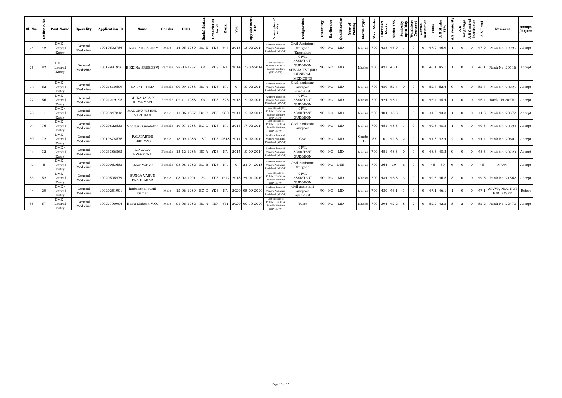| <b>S1. No.</b> | P.<br>m<br>ឹ<br>Onli | Post Name                   | Specality           | <b>Application ID</b> | Name                               | Gender | <b>DOB</b>                       | Stat<br>dal<br>Cia<br>ஃ | nsider<br>Local<br>ပိ | Rank<br>Year   | Date<br>٠                                         |                                                                        |                                                                                                                 | Disability | Ex-Service | Qualificatio | ង ដូ<br>Year<br>Passi | ŗЪ<br>Marks        | Mark<br>Мах. | ained<br>arks<br>Obtain<br>Marl | 75%<br>Marks | rity<br>May<br>Seniority<br>upto May<br>Weightag<br>Contract |                | <b>Central</b><br>Institution | Total         | $\overline{AB}$ | Seniority<br>A.S | A.S<br>Weighta <sub>i</sub> | A.S Central<br>Institution | Total<br>w<br>⋖    | Remarks                           | Accept<br>/Reject |
|----------------|----------------------|-----------------------------|---------------------|-----------------------|------------------------------------|--------|----------------------------------|-------------------------|-----------------------|----------------|---------------------------------------------------|------------------------------------------------------------------------|-----------------------------------------------------------------------------------------------------------------|------------|------------|--------------|-----------------------|--------------------|--------------|---------------------------------|--------------|--------------------------------------------------------------|----------------|-------------------------------|---------------|-----------------|------------------|-----------------------------|----------------------------|--------------------|-----------------------------------|-------------------|
| 24             | 49                   | DME -<br>Lateral<br>Entry   | General<br>Medicine | 10019502786           | <b>ARSHAD SALEEM</b>               | Male   | 14-05-1989                       | $BC-E$                  | <b>YES</b>            | 644<br>2013    | 13-02-2014                                        | Andhra Pradesl<br>Vaidya Vidhana<br>Parishad (APVVP)                   | Civil Assistant<br>Surgeon<br>(Specialist)                                                                      |            | $NO$ $NO$  | MD           |                       | Marks 700 438 46.9 |              |                                 |              |                                                              | $\overline{0}$ | $\overline{0}$                | 47.9 46.9     |                 |                  | $\overline{0}$              |                            | $0 \quad 47.9$     | Rank No. 19995                    | Accept            |
| 25             | 82                   | DME -<br>Lateral<br>Entry   | General<br>Medicine | 10019981936           | BIKKINA SREEDEVI Female 28-03-1987 |        |                                  | OC                      | <b>YES</b>            |                | NA 2014 15-02-201                                 | Directorate of<br>Public Health &<br>Family Welfare<br>(DPH&FW)        | <b>CIVIL</b><br><b>ASSISTANT</b><br><b>SURGEON</b><br><b>PECIALIST (MD</b><br><b>GENERAL</b><br><b>MEDICINE</b> |            | NO NO      | MD           |                       | Marks 700 421 45.1 |              |                                 |              | 1                                                            | $\overline{0}$ | $\overline{0}$                | 46.1 45.1     |                 |                  | $\overline{0}$              | $\overline{0}$             |                    | 46.1 Rank No. 20116   Accept      |                   |
| 26             | 62                   | DME-<br>Lateral<br>Entry    | General<br>Medicine | 10021810509           | KALINGI TEJA                       |        | Female 09-09-1988 BC-A YES       |                         |                       | NA<br>$\Omega$ | 10-02-2014                                        | Andhra Pradesh<br>Vaidya Vidhana<br>Parishad (APVVP)                   | Civil assistant<br>surgeon<br>specialist                                                                        |            | NO NO      | MD           |                       | Marks 700 489 52.4 |              |                                 |              | $\overline{0}$                                               | $\mathbf{O}$   |                               | $0$ 52.4 52.4 |                 | $\mathbf{0}$     | $\overline{0}$              |                            | $0 \quad 52.4$     | Rank No. 20225   Accept           |                   |
| 27             | 56                   | DME -<br>Lateral<br>Entry   | General<br>Medicine | 10021219195           | MUNAGALA P<br>KIRANMAYI            |        | Female 02-11-1988                | OC                      | <b>YES</b>            |                | 525 2013 19-02-2014                               | Andhra Pradesh<br>Vaidya Vidhana<br>Parishad (APVVP)                   | <b>CIVIL</b><br><b>ASSISTANT</b><br><b>SURGEON</b>                                                              |            | NO NO      | MD           |                       | Marks 700 424 45.4 |              |                                 |              |                                                              | $\Omega$       | $\overline{0}$                | 46.4 45.4     |                 |                  | $\overline{0}$              |                            | $0\quad 46.4$      | Rank No.20270                     | Accept            |
| 28             |                      | DME-<br>Lateral<br>Entry    | General<br>Medicine | 10023847818           | MADURU VISHNU<br><b>VARDHAN</b>    | Male   |                                  |                         |                       |                | 11-06-1987   BC-B   YES   980   2014   12-02-2014 | Directorate of<br>Public Health &<br>Family Welfare<br>(DPH&FW)        | <b>CIVIL</b><br><b>ASSISTANT</b><br><b>SURGEON</b>                                                              |            | $NO$ $NO$  | MD           |                       | Marks 700 404 43.3 |              |                                 |              |                                                              | $\overline{0}$ |                               | $0$ 44.3 43.3 |                 |                  | $\overline{0}$              |                            |                    | 0 44.3 Rank No. 20372   Accept    |                   |
| 29             | 76                   | DME-<br>Lateral<br>Entry    | General<br>Medicine | 10020822532           | Maddur Sumalatha                   |        | Female   19-07-1988   BC-D   YES |                         |                       |                | NA 2014 17-02-201                                 | Directorate of<br>Public Health &<br><b>Family Welfare</b><br>(DPH&FW) | Civil assistant<br>surgeon                                                                                      |            | NO NO      | MD           |                       | Marks 700 451 48.3 |              |                                 |              |                                                              | $\Omega$       | $\Omega$                      | 49.3 48.3     |                 |                  | $\overline{0}$              | $\Omega$                   | 49.3               | Rank No. 20390                    | Accept            |
| 30             | 72                   | DME-<br>Lateral<br>Entry    | General<br>Medicine | 10019878576           | PALAPARTHI<br><b>SRINIVAS</b>      | Male   | 18-09-1986                       | ST                      |                       |                | YES 2618 2014 14-02-2014                          | Andhra Pradesh<br>Vaidya Vidhana<br>Parishad (APVVP)                   | CAS                                                                                                             |            | NO NO      | MD           |                       | Grade<br>$- B$     | 57           | $\Omega$                        | 42.8         | 2                                                            | $\mathbf{0}$   |                               | $0$ 44.8 42.4 |                 | 2                | $\overline{0}$              |                            | $0 \mid 44.4 \mid$ | Rank No. 20601                    | Accept            |
| 31             | 32                   | $DME$ .<br>Lateral<br>Entry | General<br>Medicine | 10023386862           | <b>LINGALA</b><br><b>PRAVEENA</b>  |        | Female 13-12-1986 BC-A           |                         | <b>YES</b>            |                | NA 2014 10-09-2014                                | Andhra Pradesh<br>Vaidya Vidhana<br>Parishad (APVVP)                   | <b>CIVIL</b><br><b>ASSISTANT</b><br><b>SURGEON</b>                                                              |            | NO NO      | MD           |                       | Marks 700 451 48.3 |              |                                 |              | $\Omega$                                                     | $\Omega$       | $\Omega$                      | 48.3 48.3     |                 | $\Omega$         | $\Omega$                    | $\Omega$                   | 48.3               | Rank No. 20729                    | Accept            |
| 32             | 5                    | DME-<br>Lateral<br>Entry    | General<br>Medicine | 10020063682           | Shaik Vahida                       |        | Female 08-08-1982 BC-B           |                         | <b>YES</b>            | NA<br>$\Omega$ | 21-04-2018                                        | Andhra Pradesł<br>Vaidya Vidhana<br>Parishad (APVVP                    | Civil Assistant<br>Surgeon                                                                                      |            |            | NO NO DNB    |                       | Marks 700 364      |              |                                 | 39           | 6                                                            | $\Omega$       | $\Omega$                      | 45            | 39              | 6                | $\Omega$                    | $\Omega$                   | 45                 | <b>APVVP</b>                      | Accept            |
| 33             | 52                   | DME<br>Lateral<br>Entry     | General<br>Medicine | 10020505479           | <b>BUNGA VARUN</b><br>PRABHAKAR    | Male   | 08-02-1991                       | <b>SC</b>               | <b>YES</b>            |                | 1242 2018 24-01-2019                              | Directorate of<br>Public Health &<br>Family Welfare<br>(DPH&FW)        | <b>CIVIL</b><br><b>ASSISTANT</b><br><b>SURGEON</b>                                                              |            | NO   NO    | MD           |                       | Marks 700 434 46.5 |              |                                 |              | 3                                                            | $\overline{0}$ | $\overline{0}$                | 49.5 46.5     |                 | $\mathbf{3}$     | $\overline{0}$              | $\overline{0}$             | 49.5               | Rank No. 21562                    | Accept            |
| 34             | 20                   | DME<br>Lateral<br>Entry     | General<br>Medicine | 10020251901           | kadubandi sunil<br>kumar           | Male   | 12-06-1989 BC-D   YES            |                         |                       |                | NA 2020 05-09-2020                                | Andhra Pradesh<br>Vaidya Vidhana<br>Parishad (APVVP)                   | civil assistant<br>surgeon<br>specialist                                                                        |            | NO   NO    | MD           |                       | Marks 700 430 46.1 |              |                                 |              |                                                              | $\Omega$       | $\overline{0}$                | 47.1 46.1     |                 |                  | $\overline{0}$              | $\Omega$                   | 47.1               | APVVP, NOC NOT<br><b>ENCLOSED</b> | Reject            |
| 35             | 57                   | DME<br>Lateral<br>Entry     | General<br>Medicine | 10022790904           | Babu Mahesh V.O.                   | Male   | $01-06-1982$ BC-A                |                         | NO.                   |                | 671 2020 09-10-2020                               | Directorate of<br>ublic Health &<br>Family Welfare<br>(DPH&FW)         | Tutor                                                                                                           |            | NO NO      | MD           |                       | Marks 700 394 42.2 |              |                                 |              | 8                                                            | 2              | $\overline{0}$                | 52.2 42.2     |                 | 8                | 2                           | $\overline{0}$             | 52.2               | Rank No. 22470   Accept           |                   |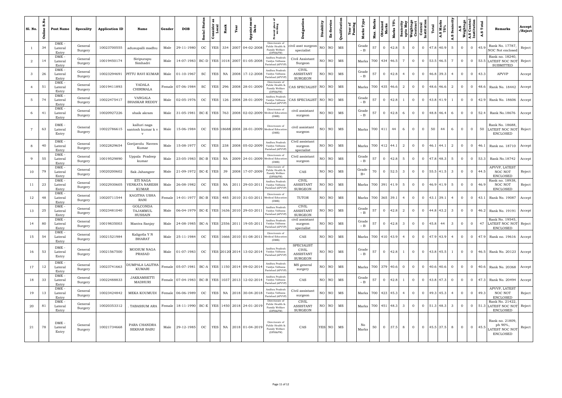| Sl. No.         | å<br>U)<br>Online | Post Name                   | Specality          | <b>Application ID</b> | Name                                              | Gender | <b>DOB</b>                                                  | Status<br>cial<br>န္တီ | Consider<br>Local | Rank | Year | ointm<br>Date<br>App.                              |                                                                        |                                                           | Disability | -Service | Qualification | Year<br>Passi | ŗр<br><b>Marks</b>       | Mark<br>Max. | <b>Obtained</b><br>Marks | 75%<br>Marks |                 |                | Seniority<br>upto May<br>Weightage<br>Contract<br>Central<br>Linstitution<br>Institution | Total     | Seniority<br>∣≅ັທ<br>$\frac{1}{2}$<br>ທຸ<br>d. | A.S<br>Weighta <sub>i</sub> | A.S Central<br>Institution |                | Total          | Remarks                                                            | Accept<br>/Reject |
|-----------------|-------------------|-----------------------------|--------------------|-----------------------|---------------------------------------------------|--------|-------------------------------------------------------------|------------------------|-------------------|------|------|----------------------------------------------------|------------------------------------------------------------------------|-----------------------------------------------------------|------------|----------|---------------|---------------|--------------------------|--------------|--------------------------|--------------|-----------------|----------------|------------------------------------------------------------------------------------------|-----------|------------------------------------------------|-----------------------------|----------------------------|----------------|----------------|--------------------------------------------------------------------|-------------------|
|                 | 34                | DME -<br>Lateral<br>Entry   | General<br>Surgery | 10023700555           | adusupalli madhu                                  | Male   | 29-11-1980                                                  | OC                     | YES               |      |      | 334 2007 04-02-200                                 | Directorate of<br>Public Health &<br>Family Welfare<br>(DPH&FW)        | ivil asst surgeor<br>specialist                           | NO I       | NO.      | MS            |               | Grade<br>$-B$            | 57           | $\overline{0}$           | 42.8         | 5               | $\mathbf{0}$   | $\overline{0}$                                                                           | 47.8 40.9 | $5\overline{)}$                                | $\overline{0}$              |                            | $\mathbf{0}$   | 45.9           | Rank No. 17787<br>NOC Not enclosed                                 | Reject            |
| $\overline{2}$  | 14                | DME -<br>Lateral<br>Entry   | General<br>Surgery | 10019450174           | Siripurapu<br>Simhadri                            | Male   |                                                             |                        |                   |      |      | 14-07-1983   BC-D   YES   1018   2007   01-05-2008 | Andhra Pradesh<br>Vaidya Vidhana<br>Parishad (APVVP)                   | Civil Assistant<br>Surgeon                                |            | NO NO    | MS            |               | Marks   700   434   46.5 |              |                          |              | $7\phantom{.0}$ | $\mathbf{0}$   | $\overline{O}$                                                                           | 53.5 46.5 | 7                                              | $\overline{0}$              |                            | $\overline{0}$ |                | Rank no. 18240,<br>53.5 LATEST NOC NOT<br><b>SUBMITTED</b>         | Reject            |
| 3               | 26                | DME<br>Lateral<br>Entry     | General<br>Surgery | 10023294691           | PITTU RAVI KUMAR                                  | Male   | 01-10-1967                                                  | <b>SC</b>              | <b>YES</b>        |      |      | NA 2008 17-12-2008                                 | Andhra Pradesh<br>Vaidya Vidhana<br>Parishad (APVVP)                   | <b>CIVIL</b><br>ASSISTANT<br><b>SURGEON</b>               |            | NO NO    | MS            |               | Grade<br>$- B$           | 57           | $\overline{0}$           | 42.8         | $\overline{4}$  | $\overline{0}$ | $\overline{0}$                                                                           | 46.8 39.3 | $\overline{4}$                                 | $\overline{0}$              |                            |                | $0 \t 43.3$    | APVVP                                                              | Accept            |
|                 | 51                | DME<br>Lateral<br>Entry     | General<br>Surgery | 10019411893           | YADALA<br>CHIRIMALA                               |        | Female 07-06-1984                                           | SC                     |                   |      |      | YES 296 2008 28-01-2009                            | Directorate of<br>eublic Health {<br><b>Family Welfare</b><br>(DPH&FW) | CAS SPECIALIST   NO   NO                                  |            |          | MS            |               | Marks   700   435   46.6 |              |                          |              | 2               | $\mathbf{0}$   | $\overline{0}$                                                                           | 48.6 46.6 | $\overline{a}$                                 | $\overline{0}$              |                            | $\overline{0}$ | 48.6           | Rank No. 18442                                                     | Accept            |
| 5               | 74                | DME<br>Lateral<br>Entry     | General<br>Surgery | 10022475417           | VANGALA<br><b>BHASKAR REDDY</b>                   | Male   | 02-05-1976                                                  | $_{\rm OC}$            | <b>YES</b>        |      |      | 126 2008 28-01-2009                                | Andhra Pradesh<br>Vaidya Vidhana<br>Parishad (APVVP)                   | CAS SPECIALIST   NO                                       |            | NO.      | MS            |               | Grade<br>$- B$           | 57           | $\mathbf{0}$             | 42.8         |                 | $\mathbf{O}$   | $\overline{0}$                                                                           | 43.8 41.9 |                                                | $\overline{0}$              |                            |                |                | 0   42.9   Rank No. 18606                                          | Accept            |
| 6               | 41                | DME -<br>Lateral<br>Entry   | General<br>Surgery | 10020927226           | shaik akram                                       | Male   | 31-05-1981                                                  | $BC-E$                 | YES               |      |      | 763 2008 02-02-2009                                | Directorate of<br>Medical Education<br>(DME)                           | civil assistant<br>surgeon                                |            | NO NO    | MS            |               | Grade<br>$-B$            | 57           | $\mathbf{0}$             | 42.8         | 6               | $\overline{0}$ | $\Omega$                                                                                 | 48.8 46.4 | 6                                              | $\overline{0}$              |                            |                | $0\quad 52.4$  | Rank No.18676                                                      | Accept            |
| $7\phantom{.0}$ | 63                | DME -<br>Lateral<br>Entry   | General<br>Surgery | 10022786615           | kalluri naga<br>santosh kumar k v<br>v            | Male   | 15-06-1984                                                  | OC                     |                   |      |      | YES 18688 2008 28-01-2009                          | Directorate of<br>Medical Educatic<br>(DME)                            | civil assistant<br>surgeon                                |            | NO NO    | MS            |               | Marks 700 411            |              |                          | 44           | 6               | $\mathbf{0}$   | $\overline{0}$                                                                           | 50        | 44<br>6                                        | $\overline{0}$              |                            | $\overline{0}$ | 50             | Rank No. 18688<br>LATEST NOC NOT Reject<br><b>ENCLOSED</b>         |                   |
| 8               | 40                | DME -<br>Lateral<br>Entry   | General<br>Surgery | 10022829654           | Gorijavolu Naveen<br>Kumar                        | Male   | 15-08-1977                                                  | OC                     | <b>YES</b>        |      |      | 238 2008 05-02-2009                                | Andhra Pradesh<br>Vaidya Vidhana<br>Parishad (APVVP)                   | Civil assistant<br>surgeon<br>specialist                  |            | NO NO    | MS            |               | Marks                    | 700          | 412 44.1                 |              | $\overline{2}$  | $\mathbf{0}$   | $\Omega$                                                                                 | 46.1 44.1 | $\overline{a}$                                 | $\overline{0}$              |                            | $\overline{0}$ | 46.1           | Rank no. 18710                                                     | Accept            |
| 9               | 55                | $DME -$<br>Lateral<br>Entry | General<br>Surgery | 10019529890           | Uppala Pradeep<br>kumar                           | Male   | 23-05-1983 BC-B   YES                                       |                        |                   |      |      | NA 2009 24-01-2009                                 | Directorate of<br>Medical Educatio<br>(DME)                            | Civil assistant<br>surgeon                                |            | NO NO    | MS            |               | Grade<br>$- B$           | 57           | $\overline{0}$           | 42.8         | 5               | $\overline{0}$ | $\overline{0}$                                                                           | 47.8 48.3 | 5                                              | $\overline{0}$              |                            |                | $0 \quad 53.3$ | Rank No.18742                                                      | Accept            |
| 10              | 79                | DME.<br>Lateral<br>Entry    | General<br>Surgery | 10020200602           | Sak Jahangeer                                     | Male   | 21-09-1972 BC-E   YES                                       |                        |                   | 39   |      | 2008 17-07-2009                                    | Directorate of<br>Public Health &<br>Family Welfare<br>(DPH&FW)        | CAS                                                       |            | NO NO    | MS            |               | Grade<br>$B+$            | 70           | $\mathbf{0}$             | 52.5         | 3               | $\mathbf{0}$   | $\overline{0}$                                                                           | 55.5 41.5 | $\mathbf{3}$                                   | $\overline{0}$              |                            |                | $0 \mid 44.5$  | APVVP, LATEST<br>NOC NOT<br><b>ENCLOSED</b>                        | Reject            |
| 11              | 23                | $DME -$<br>Lateral<br>Entry | General<br>Surgery | 10022930605           | ETI NAGA<br><b>VENKATA NARESH</b><br><b>KUMAR</b> | Male   | 26-08-1982                                                  | OC                     | YES               |      |      | NA 2011 29-03-201                                  | Andhra Pradesh<br>Vaidya Vidhana<br>Parishad (APVVP)                   | <b>CIVIL</b><br><b>ASSISTANT</b><br><b>SURGEON</b>        |            | NO NO    | MS            |               | Marks 700 391 41.9       |              |                          |              | 5               | $\overline{0}$ | $\overline{0}$                                                                           | 46.9 41.9 | 5                                              | $\overline{0}$              |                            | $\overline{0}$ | 46.9           | Rank no. 18938.<br>NOC NOT<br><b>ENCLOSED</b>                      | Reject            |
| 12              | 48                | $DME$ .<br>Lateral<br>Entry | General<br>Surgery | 10020711544           | KAGITHA USHA<br>RANI                              | Female |                                                             |                        |                   |      |      | 14-01-1977   BC-B   YES   485   2010   31-03-2011  | Directorate of<br>Medical Education<br>(DME)                           | TUTOR                                                     |            | NO NO    | MS            |               | Marks 700 365 39.1       |              |                          |              | $\overline{4}$  | $\overline{0}$ | $\overline{0}$                                                                           | 43.1 39.1 | $\overline{4}$                                 | $\mathbf{0}$                |                            |                | $0 \mid 43.1$  | Rank No. 19087                                                     | Accept            |
| 13              | 25                | DME<br>Lateral<br>Entry     | General<br>Surgery | 10023481040           | <b>GOLCONDA</b><br>TAJAMMUL<br><b>HUSSAIN</b>     | Male   | 06-04-1979   BC-E   YES   1636   2010   29-03-2011          |                        |                   |      |      |                                                    | Andhra Pradesh<br>Vaidya Vidhana<br>Parishad (APVVP)                   | <b>CIVIL</b><br>ASSISTANT<br><b>SURGEON</b>               |            | NO NO    | MS            |               | Grade<br>$- B$           | 57           | $\overline{0}$           | 42.8         | 2               | $\mathbf{O}$   | $\overline{0}$                                                                           | 44.8 43.2 | $\mathbf{3}$                                   | $\overline{0}$              |                            |                |                | 0 46.2 Rank No. 19191                                              | Accept            |
| 14              | 80                | DME -<br>Lateral<br>Entry   | General<br>Surgery | 10019835003           | Mantra Sanjay                                     | Male   | 24-08-1985   BC-A   YES   2556   2011   19-05-2011          |                        |                   |      |      |                                                    | Andhra Pradesh<br>Vaidya Vidhana<br>Parishad (APVVP)                   | civil assistant<br>surgeon<br>specialist                  |            | NO NO    | MS            |               | Grade<br>$- B$           | 57           | $\overline{0}$           | 42.8         | $\mathbf{3}$    | $\overline{0}$ | $\overline{0}$                                                                           | 45.8 44   | $\mathbf{3}$                                   | $\overline{0}$              |                            | $\overline{0}$ | 47             | Rank No. 19545,<br>LATEST NOC NOT Reject<br><b>ENCLOSED</b>        |                   |
| 15              | 54                | DME -<br>Lateral<br>Entry   | General<br>Surgery | 10021521984           | Kaligotla Y N<br><b>BHARAT</b>                    | Male   | 25-11-1984                                                  | OC                     |                   |      |      | YES 1666 2010 01-08-2011                           | Directorate of<br>Medical Education<br>(DME)                           | CAS                                                       |            | NO NO    | MS            |               | Marks 700   410   43.9   |              |                          |              | $\overline{4}$  | $\overline{0}$ | $\overline{0}$                                                                           | 47.9 43.9 | $\overline{4}$                                 | $\overline{0}$              |                            |                |                | 0 47.9 Rank no. 19616                                              | Accept            |
| 16              | 53                | DME-<br>Lateral<br>Entry    | General<br>Surgery | 10021567500           | MODIUM NAGA<br>PRASAD                             | Male   | 01-07-1983                                                  | $_{\rm OC}$            |                   |      |      | YES 20120 2014 13-02-2014                          | Andhra Pradesh<br>Vaidya Vidhana<br>Parishad (APVVP)                   | <b>SPECIALIST</b><br>CIVIL<br>ASSISTANT<br><b>SURGEON</b> |            | NO NO    | MS            |               | Grade<br>$- B$           | 57           | $\overline{0}$           | 42.8         |                 | $\overline{0}$ | $\overline{0}$                                                                           | 43.8 45.5 | $\overline{1}$                                 | $\overline{0}$              |                            |                |                | 0 46.5 Rank No. 20123   Accept                                     |                   |
| 17              | 12                | DME -<br>Lateral<br>Entry   | General<br>Surgery | 10023741663           | DUMPALA LALITHA<br>KUMARI                         |        | Female   05-07-1981   BC-A   YES   1150   2014   09-02-2014 |                        |                   |      |      |                                                    | Andhra Pradesh<br>Vaidya Vidhana<br>Parishad (APVVP)                   | MS general<br>surgery                                     |            | NO NO    | MS            |               | Marks 700 379 40.6       |              |                          |              | $\overline{0}$  | $\overline{0}$ | $0$ 40.6 40.6                                                                            |           | $\overline{0}$                                 | $\overline{0}$              |                            |                |                | 0 40.6 Rank No. 20368                                              | Accept            |
| 18              | 33                | DME -<br>Lateral<br>Entry   | General<br>Surgery | 10022488833           | <b>JAKKAMSETTI</b><br>MADHURI                     |        | Female   07-04-1983   BC-B   YES   1037   2013   12-02-2014 |                        |                   |      |      |                                                    | Andhra Pradesh<br>Vaidya Vidhana<br>Parishad (APVVP)                   | CAS                                                       |            | NO NO    | MS            |               | Grade<br>$- B$           | 57           | $\overline{0}$           | 42.8         |                 | $\overline{0}$ | $\overline{0}$                                                                           | 43.8 47.3 | $\overline{0}$                                 | $\overline{0}$              |                            |                |                | 0   47.3   Rank No. 20494                                          | Accept            |
| 19              | 13                | DME -<br>Lateral<br>Entry   | General<br>Surgery | 10023424842           | MEKA KOUMUDI                                      |        | Female 06-06-1989                                           | OC                     | <b>YES</b>        |      |      | NA 2018 30-04-2018                                 | Andhra Pradesh<br>Vaidya Vidhana<br>Parishad (APVVP)                   | Civil assistant<br>surgeon                                |            | NO NO    | MS            |               | Marks 700 423 45.3       |              |                          |              | $\overline{4}$  | $\overline{0}$ | $\overline{0}$                                                                           | 49.3 45.3 | $\overline{4}$                                 | $\overline{0}$              |                            | $\overline{0}$ | 49.3           | APVVP, LATEST<br>NOC NOT<br><b>ENCLOSED</b>                        | Reject            |
| 20              | 81                | DME-<br>Lateral<br>Entry    | General<br>Surgery | 10020353312           | . TABASSUM ARA                                    | Female | 18-11-1990   BC-E   YES   1450   2018   24-01-201           |                        |                   |      |      |                                                    | Directorate of<br>Public Health &<br>Family Welfare<br>(DPH&FW)        | CIVIL<br>ASSISTANT<br><b>SURGEON</b>                      |            | NO NO    | MS            |               | Marks 700 451 48.3       |              |                          |              | 3               | $\overline{0}$ | $\overline{0}$                                                                           | 51.3 48.3 | $\mathbf{3}$                                   | $\overline{0}$              |                            |                |                | Rank No. 21422,<br>0 51.3 LATEST NOC NOT Reject<br><b>ENCLOSED</b> |                   |
| 21              | 78                | DME -<br>Lateral<br>Entry   | General<br>Surgery | 10021734668           | PARA CHANDRA<br><b>SEKHAR BABU</b>                | Male   | 29-12-1985                                                  | OC                     |                   |      |      | YES   NA   2018   01-04-2019                       | Directorate of<br>Public Health &<br>Family Welfare<br>(DPH&FW)        | CAS                                                       |            | YES NO   | MS            |               | No<br>Marks              | 50           | $\overline{0}$           | 37.5         | 8               | $\overline{0}$ | $\overline{0}$                                                                           | 45.5 37.5 | 8                                              | $\overline{0}$              |                            | $\overline{0}$ | 45.5           | Rank no. 21809,<br>ph 90%,<br>LATEST NOC NOT<br><b>ENCLOSED</b>    | Reject            |